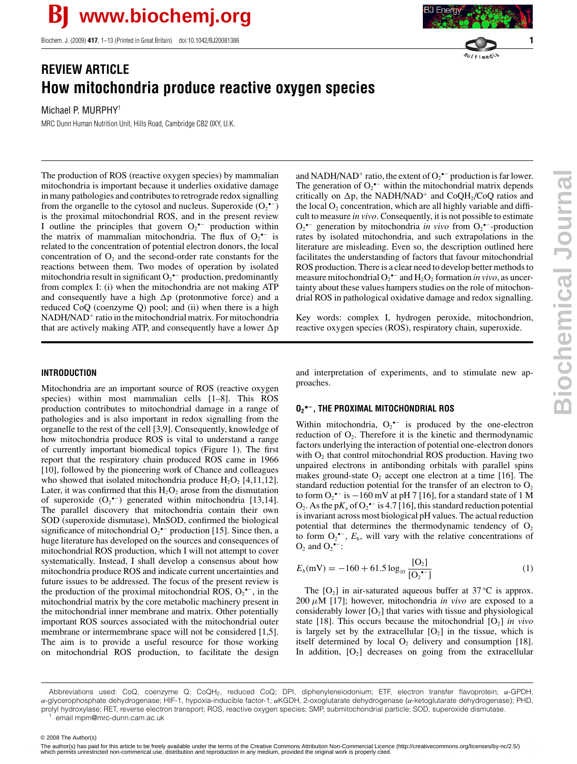Biochem. J. (2009) **417**, 1–13 (Printed in Great Britain) doi:10.1042/BJ20081386 **1**

## **REVIEW ARTICLE How mitochondria produce reactive oxygen species**

Michael P. MURPHY<sup>1</sup>

MRC Dunn Human Nutrition Unit, Hills Road, Cambridge CB2 0XY, U.K.

The production of ROS (reactive oxygen species) by mammalian mitochondria is important because it underlies oxidative damage in many pathologies and contributes to retrograde redox signalling from the organelle to the cytosol and nucleus. Superoxide  $(O_2^{\bullet -})$ is the proximal mitochondrial ROS, and in the present review I outline the principles that govern  $O_2^{\bullet-}$  production within the matrix of mammalian mitochondria. The flux of  $O_2$ <sup> $\text{-}$ </sup> is related to the concentration of potential electron donors, the local concentration of  $O_2$  and the second-order rate constants for the reactions between them. Two modes of operation by isolated mitochondria result in significant  $O_2$ <sup>•–</sup> production, predominantly from complex I: (i) when the mitochondria are not making ATP and consequently have a high  $\Delta p$  (protonmotive force) and a reduced CoQ (coenzyme Q) pool; and (ii) when there is a high NADH/NAD<sup>+</sup> ratio in the mitochondrial matrix. For mitochondria

# Energy  $\sqrt[n]{u(t)}$  medio

**Biochemical Journal Biochemical Journa** 

that are actively making ATP, and consequently have a lower  $\Delta p$ 

and NADH/NAD<sup>+</sup> ratio, the extent of  $O_2^{\bullet-}$  production is far lower. The generation of  $O_2$ <sup>•–</sup> within the mitochondrial matrix depends critically on  $\Delta p$ , the NADH/NAD<sup>+</sup> and CoQH<sub>2</sub>/CoQ ratios and the local  $O_2$  concentration, which are all highly variable and difficult to measure *in vivo*. Consequently, it is not possible to estimate  $O_2^{\bullet-}$  generation by mitochondria *in vivo* from  $O_2^{\bullet-}$ -production rates by isolated mitochondria, and such extrapolations in the literature are misleading. Even so, the description outlined here facilitates the understanding of factors that favour mitochondrial ROS production. There is a clear need to develop better methods to measure mitochondrial  $O_2^{\bullet-}$  and  $H_2O_2$  formation *in vivo*, as uncertainty about these values hampers studies on the role of mitochondrial ROS in pathological oxidative damage and redox signalling.

Key words: complex I, hydrogen peroxide, mitochondrion, reactive oxygen species (ROS), respiratory chain, superoxide.

## **INTRODUCTION**

Mitochondria are an important source of ROS (reactive oxygen species) within most mammalian cells [1–8]. This ROS production contributes to mitochondrial damage in a range of pathologies and is also important in redox signalling from the organelle to the rest of the cell [3,9]. Consequently, knowledge of how mitochondria produce ROS is vital to understand a range of currently important biomedical topics (Figure 1). The first report that the respiratory chain produced ROS came in 1966 [10], followed by the pioneering work of Chance and colleagues who showed that isolated mitochondria produce  $H_2O_2$  [4,11,12]. Later, it was confirmed that this  $H_2O_2$  arose from the dismutation of superoxide  $(O_2^{\bullet-})$  generated within mitochondria [13,14]. The parallel discovery that mitochondria contain their own SOD (superoxide dismutase), MnSOD, confirmed the biological significance of mitochondrial  $O_2$ <sup>\*-</sup> production [15]. Since then, a huge literature has developed on the sources and consequences of mitochondrial ROS production, which I will not attempt to cover systematically. Instead, I shall develop a consensus about how mitochondria produce ROS and indicate current uncertainties and future issues to be addressed. The focus of the present review is the production of the proximal mitochondrial ROS,  $O_2^{\bullet -}$ , in the mitochondrial matrix by the core metabolic machinery present in the mitochondrial inner membrane and matrix. Other potentially important ROS sources associated with the mitochondrial outer membrane or intermembrane space will not be considered [1,5]. The aim is to provide a useful resource for those working on mitochondrial ROS production, to facilitate the design and interpretation of experiments, and to stimulate new approaches.

## **O2 •−, THE PROXIMAL MITOCHONDRIAL ROS**

Within mitochondria,  $O_2^{\bullet-}$  is produced by the one-electron reduction of  $O_2$ . Therefore it is the kinetic and thermodynamic factors underlying the interaction of potential one-electron donors with  $O<sub>2</sub>$  that control mitochondrial ROS production. Having two unpaired electrons in antibonding orbitals with parallel spins makes ground-state  $O_2$  accept one electron at a time [16]. The standard reduction potential for the transfer of an electron to  $O_2$ to form  $O_2$ <sup>•−</sup> is  $-160$  mV at pH 7 [16], for a standard state of 1 M  $O_2$ . As the p $K_a$  of  $O_2^{\bullet -}$  is 4.7 [16], this standard reduction potential is invariant across most biological pH values. The actual reduction potential that determines the thermodynamic tendency of  $O<sub>2</sub>$ to form  $O_2^{\bullet-}$ ,  $E_h$ , will vary with the relative concentrations of  $O_2$  and  $O_2$ <sup>•-</sup>:

$$
E_h(\text{mV}) = -160 + 61.5 \log_{10} \frac{[\text{O}_2]}{[\text{O}_2^{\bullet-}]}
$$
 (1)

The  $[O_2]$  in air-saturated aqueous buffer at 37 $\rm ^{\circ}C$  is approx.  $200 \mu M$  [17]; however, mitochondria *in vivo* are exposed to a considerably lower  $[O_2]$  that varies with tissue and physiological state [18]. This occurs because the mitochondrial  $[O_2]$  *in vivo* is largely set by the extracellular  $[O_2]$  in the tissue, which is itself determined by local  $O_2$  delivery and consumption [18]. In addition,  $[O_2]$  decreases on going from the extracellular

© 2008 The Author(s)

Abbreviations used: CoQ, coenzyme Q; CoQH2, reduced CoQ; DPI, diphenyleneiodonium; ETF, electron transfer flavoprotein; *α*-GPDH, *α*-glycerophosphate dehydrogenase; HIF-1, hypoxia-inducible factor-1; *α*KGDH, 2-oxoglutarate dehydrogenase (*α*-ketoglutarate dehydrogenase); PHD, prolyl hydroxylase; RET, reverse electron transport; ROS, reactive oxygen species; SMP, submitochondrial particle; SOD, superoxide dismutase. email mpm@mrc-dunn.cam.ac.uk

<sup>© 2008</sup> The Author(s)<br>The author(s) has paid for this article to be freely available under the terms of the Creative Commons Attribution Non-Commercial Licence (http://creativecommons.org/licenses/by-nc/2.5/) which permits unrestricted non-commerical use, distribution and reproduction in any medium, provided the original work is properly cited.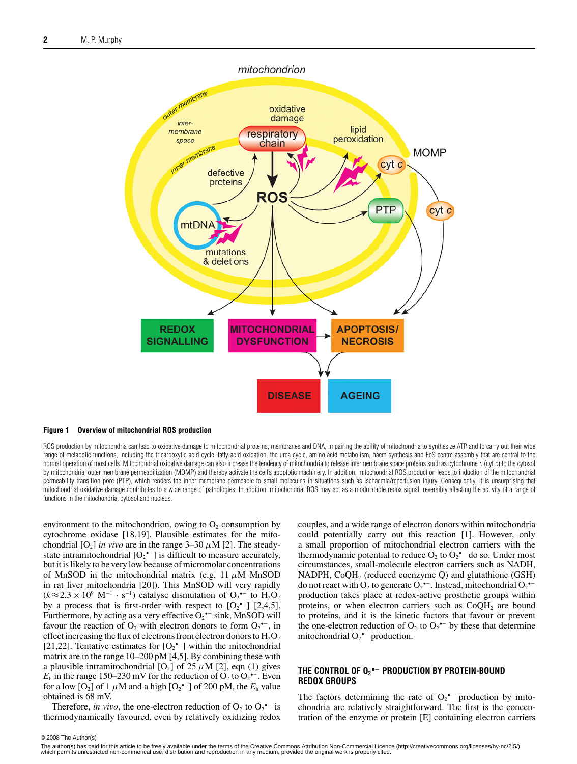

#### **Figure 1 Overview of mitochondrial ROS production**

ROS production by mitochondria can lead to oxidative damage to mitochondrial proteins, membranes and DNA, impairing the ability of mitochondria to synthesize ATP and to carry out their wide range of metabolic functions, including the tricarboxylic acid cycle, fatty acid oxidation, the urea cycle, amino acid metabolism, haem synthesis and FeS centre assembly that are central to the normal operation of most cells. Mitochondrial oxidative damage can also increase the tendency of mitochondria to release intermembrane space proteins such as cytochrome c (cyt c) to the cytosol by mitochondrial outer membrane permeabilization (MOMP) and thereby activate the cell's apoptotic machinery. In addition, mitochondrial ROS production leads to induction of the mitochondrial permeability transition pore (PTP), which renders the inner membrane permeable to small molecules in situations such as ischaemia/reperfusion injury. Consequently, it is unsurprising that mitochondrial oxidative damage contributes to a wide range of pathologies. In addition, mitochondrial ROS may act as a modulatable redox signal, reversibly affecting the activity of a range of functions in the mitochondria, cytosol and nucleus.

environment to the mitochondrion, owing to  $O<sub>2</sub>$  consumption by cytochrome oxidase [18,19]. Plausible estimates for the mitochondrial  $[O_2]$  *in vivo* are in the range  $3-30 \mu M$  [2]. The steadystate intramitochondrial  $[O_2^{\bullet-}]$  is difficult to measure accurately, but it is likely to be very low because of micromolar concentrations of MnSOD in the mitochondrial matrix (e.g. 11  $\mu$ M MnSOD in rat liver mitochondria [20]). This MnSOD will very rapidly  $(k \approx 2.3 \times 10^9 \text{ M}^{-1} \cdot \text{s}^{-1})$  catalyse dismutation of  $\text{O}_2$ <sup>-</sup> to  $\text{H}_2\text{O}_2$ by a process that is first-order with respect to  $[O_2^{\bullet-}]$  [2,4,5]. Furthermore, by acting as a very effective  $O_2$ <sup>\*-</sup> sink, MnSOD will favour the reaction of  $O_2$  with electron donors to form  $O_2$ <sup>\*</sup>, in effect increasing the flux of electrons from electron donors to  $H_2O_2$ [21,22]. Tentative estimates for  $[O_2^{\bullet-}]$  within the mitochondrial matrix are in the range 10–200 pM [4,5]. By combining these with a plausible intramitochondrial  $[O_2]$  of 25  $\mu$ M [2], eqn (1) gives  $E<sub>h</sub>$  in the range 150–230 mV for the reduction of O<sub>2</sub> to O<sub>2</sub><sup> $-$ </sup>. Even for a low [O<sub>2</sub>] of 1  $\mu$ M and a high [O<sub>2</sub><sup>•–</sup>] of 200 pM, the  $E_h$  value obtained is 68 mV.

Therefore, *in vivo*, the one-electron reduction of  $O_2$  to  $O_2$ <sup>+-</sup> is thermodynamically favoured, even by relatively oxidizing redox couples, and a wide range of electron donors within mitochondria could potentially carry out this reaction [1]. However, only a small proportion of mitochondrial electron carriers with the thermodynamic potential to reduce  $O_2$  to  $O_2$ <sup>--</sup> do so. Under most circumstances, small-molecule electron carriers such as NADH, NADPH,  $CoQH<sub>2</sub>$  (reduced coenzyme Q) and glutathione (GSH) do not react with  $O_2$  to generate  $O_2$ <sup>\*-</sup>. Instead, mitochondrial  $O_2$ <sup>\*-</sup> production takes place at redox-active prosthetic groups within proteins, or when electron carriers such as  $CoQH<sub>2</sub>$  are bound to proteins, and it is the kinetic factors that favour or prevent the one-electron reduction of  $O_2$  to  $O_2$ <sup>--</sup> by these that determine mitochondrial  $O_2^{\bullet-}$  production.

#### **THE CONTROL OF O2 •− PRODUCTION BY PROTEIN-BOUND REDOX GROUPS**

The factors determining the rate of  $O_2$ <sup>+-</sup> production by mitochondria are relatively straightforward. The first is the concentration of the enzyme or protein [E] containing electron carriers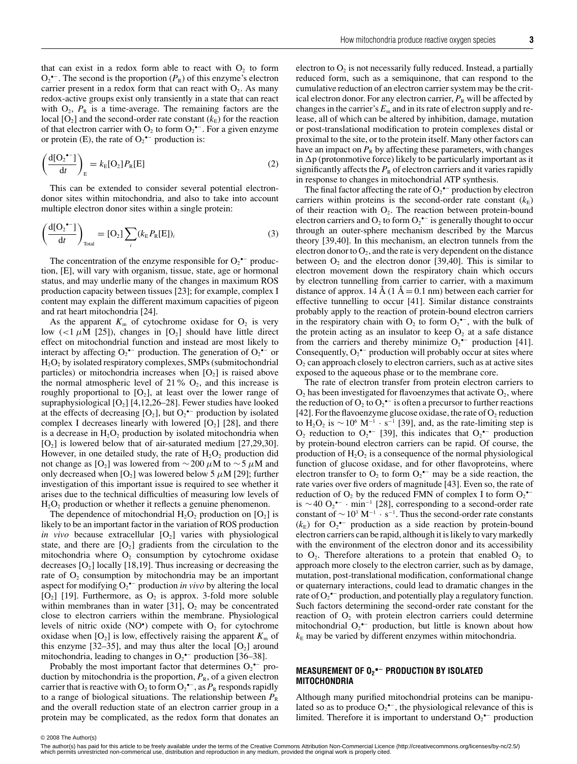that can exist in a redox form able to react with  $O<sub>2</sub>$  to form  $O_2$ <sup>•–</sup>. The second is the proportion  $(P_R)$  of this enzyme's electron carrier present in a redox form that can react with  $O_2$ . As many redox-active groups exist only transiently in a state that can react with  $O_2$ ,  $P_R$  is a time-average. The remaining factors are the local  $[O_2]$  and the second-order rate constant  $(k<sub>E</sub>)$  for the reaction of that electron carrier with  $O_2$  to form  $O_2$ <sup>\*-</sup>. For a given enzyme or protein (E), the rate of  $O_2$ <sup>•–</sup> production is:

$$
\left(\frac{d[O_2^{\bullet-}]}{dt}\right)_E = k_E[O_2]P_R[E]
$$
\n(2)

This can be extended to consider several potential electrondonor sites within mitochondria, and also to take into account multiple electron donor sites within a single protein:

$$
\left(\frac{d[O_2^{\bullet-}]}{dt}\right)_{\text{Total}} = [O_2] \sum_i (k_E P_R[E])_i \tag{3}
$$

The concentration of the enzyme responsible for  $O_2$ <sup>\*-</sup> production, [E], will vary with organism, tissue, state, age or hormonal status, and may underlie many of the changes in maximum ROS production capacity between tissues [23]; for example, complex I content may explain the different maximum capacities of pigeon and rat heart mitochondria [24].

As the apparent  $K_m$  of cytochrome oxidase for  $O_2$  is very low (<1  $\mu$ M [25]), changes in [O<sub>2</sub>] should have little direct effect on mitochondrial function and instead are most likely to interact by affecting  $O_2^{\bullet-}$  production. The generation of  $O_2^{\bullet-}$  or H2O2 by isolated respiratory complexes, SMPs (submitochondrial particles) or mitochondria increases when  $[O_2]$  is raised above the normal atmospheric level of 21%  $O_2$ , and this increase is roughly proportional to  $[O_2]$ , at least over the lower range of supraphysiological  $[O_2]$  [4,12,26–28]. Fewer studies have looked at the effects of decreasing  $[O_2]$ , but  $O_2$ <sup>\*-</sup> production by isolated complex I decreases linearly with lowered  $[O_2]$  [28], and there is a decrease in  $H_2O_2$  production by isolated mitochondria when  $[O_2]$  is lowered below that of air-saturated medium  $[27,29,30]$ . However, in one detailed study, the rate of  $H_2O_2$  production did not change as [O<sub>2</sub>] was lowered from  $\sim$  200  $\mu$ M to  $\sim$  5  $\mu$ M and only decreased when  $[O_2]$  was lowered below 5  $\mu$ M [29]; further investigation of this important issue is required to see whether it arises due to the technical difficulties of measuring low levels of  $H_2O_2$  production or whether it reflects a genuine phenomenon.

The dependence of mitochondrial  $H_2O_2$  production on  $[O_2]$  is likely to be an important factor in the variation of ROS production *in vivo* because extracellular  $[O_2]$  varies with physiological state, and there are  $[O_2]$  gradients from the circulation to the mitochondria where  $O_2$  consumption by cytochrome oxidase decreases  $[O_2]$  locally [18,19]. Thus increasing or decreasing the rate of  $O_2$  consumption by mitochondria may be an important aspect for modifying  $O_2$ <sup>\*-</sup> production *in vivo* by altering the local  $[O_2]$  [19]. Furthermore, as  $O_2$  is approx. 3-fold more soluble within membranes than in water  $[31]$ ,  $O<sub>2</sub>$  may be concentrated close to electron carriers within the membrane. Physiological levels of nitric oxide  $(NO^{\bullet})$  compete with  $O_2$  for cytochrome oxidase when  $[O_2]$  is low, effectively raising the apparent  $K_m$  of this enzyme [32–35], and may thus alter the local  $[O_2]$  around mitochondria, leading to changes in  $O_2$ <sup>\*-</sup> production [36–38].

Probably the most important factor that determines  $O_2$ <sup>\*-</sup> production by mitochondria is the proportion,  $P_R$ , of a given electron carrier that is reactive with  $O_2$  to form  $O_2^{\bullet -}$ , as  $P_R$  responds rapidly to a range of biological situations. The relationship between  $P_R$ and the overall reduction state of an electron carrier group in a protein may be complicated, as the redox form that donates an electron to  $O<sub>2</sub>$  is not necessarily fully reduced. Instead, a partially reduced form, such as a semiquinone, that can respond to the cumulative reduction of an electron carrier system may be the critical electron donor. For any electron carrier,  $P_R$  will be affected by changes in the carrier's  $E_m$  and in its rate of electron supply and release, all of which can be altered by inhibition, damage, mutation or post-translational modification to protein complexes distal or proximal to the site, or to the protein itself. Many other factors can have an impact on  $P_R$  by affecting these parameters, with changes in  $\Delta p$  (protonmotive force) likely to be particularly important as it significantly affects the  $P_R$  of electron carriers and it varies rapidly in response to changes in mitochondrial ATP synthesis.

The final factor affecting the rate of  $O_2^{\bullet-}$  production by electron carriers within proteins is the second-order rate constant  $(k<sub>E</sub>)$ of their reaction with  $O_2$ . The reaction between protein-bound electron carriers and  $O_2$  to form  $O_2$ <sup>•–</sup> is generally thought to occur through an outer-sphere mechanism described by the Marcus theory [39,40]. In this mechanism, an electron tunnels from the electron donor to  $O_2$ , and the rate is very dependent on the distance between  $O_2$  and the electron donor [39,40]. This is similar to electron movement down the respiratory chain which occurs by electron tunnelling from carrier to carrier, with a maximum distance of approx. 14 Å (1 Å = 0.1 nm) between each carrier for effective tunnelling to occur [41]. Similar distance constraints probably apply to the reaction of protein-bound electron carriers in the respiratory chain with  $O_2$  to form  $O_2^{\bullet-}$ , with the bulk of the protein acting as an insulator to keep  $O_2$  at a safe distance from the carriers and thereby minimize  $O_2^{\bullet-}$  production [41]. Consequently,  $O_2^{\bullet-}$  production will probably occur at sites where  $O<sub>2</sub>$  can approach closely to electron carriers, such as at active sites exposed to the aqueous phase or to the membrane core.

The rate of electron transfer from protein electron carriers to  $O_2$  has been investigated for flavoenzymes that activate  $O_2$ , where the reduction of  $O_2$  to  $O_2^{\bullet-}$  is often a precursor to further reactions [42]. For the flavoenzyme glucose oxidase, the rate of  $O_2$  reduction to H<sub>2</sub>O<sub>2</sub> is  $\sim$  10<sup>6</sup> M<sup>-1</sup> · s<sup>-1</sup> [39], and, as the rate-limiting step is  $O_2$  reduction to  $O_2$ <sup>\*-</sup> [39], this indicates that  $O_2$ <sup>\*-</sup> production by protein-bound electron carriers can be rapid. Of course, the production of  $H_2O_2$  is a consequence of the normal physiological function of glucose oxidase, and for other flavoproteins, where electron transfer to  $O_2$  to form  $O_2$ <sup>\*-</sup> may be a side reaction, the rate varies over five orders of magnitude [43]. Even so, the rate of reduction of  $O_2$  by the reduced FMN of complex I to form  $O_2^{\bullet-}$ is ~40 O<sub>2</sub><sup>•−</sup> · min<sup>-1</sup> [28], corresponding to a second-order rate constant of  $\sim 10^3 \text{ M}^{-1} \cdot \text{s}^{-1}$ . Thus the second-order rate constants  $(k<sub>E</sub>)$  for  $O_2$ <sup>\*-</sup> production as a side reaction by protein-bound electron carriers can be rapid, although it is likely to vary markedly with the environment of the electron donor and its accessibility to  $O_2$ . Therefore alterations to a protein that enabled  $O_2$  to approach more closely to the electron carrier, such as by damage, mutation, post-translational modification, conformational change or quaternary interactions, could lead to dramatic changes in the rate of  $O_2$ <sup>\*-</sup> production, and potentially play a regulatory function. Such factors determining the second-order rate constant for the reaction of  $O_2$  with protein electron carriers could determine mitochondrial  $O_2^{\bullet-}$  production, but little is known about how  $k<sub>E</sub>$  may be varied by different enzymes within mitochondria.

#### **MEASUREMENT OF O2 •− PRODUCTION BY ISOLATED MITOCHONDRIA**

Although many purified mitochondrial proteins can be manipulated so as to produce  $O_2^{\bullet -}$ , the physiological relevance of this is limited. Therefore it is important to understand  $O_2$ <sup>\*-</sup> production

<sup>© 2008</sup> The Author(s)<br>The author(s) has paid for this article to be freely available under the terms of the Creative Commons Attribution Non-Commercial Licence (http://creativecommons.org/licenses/by-nc/2.5/) which permits unrestricted non-commerical use, distribution and reproduction in any medium, provided the original work is properly cited.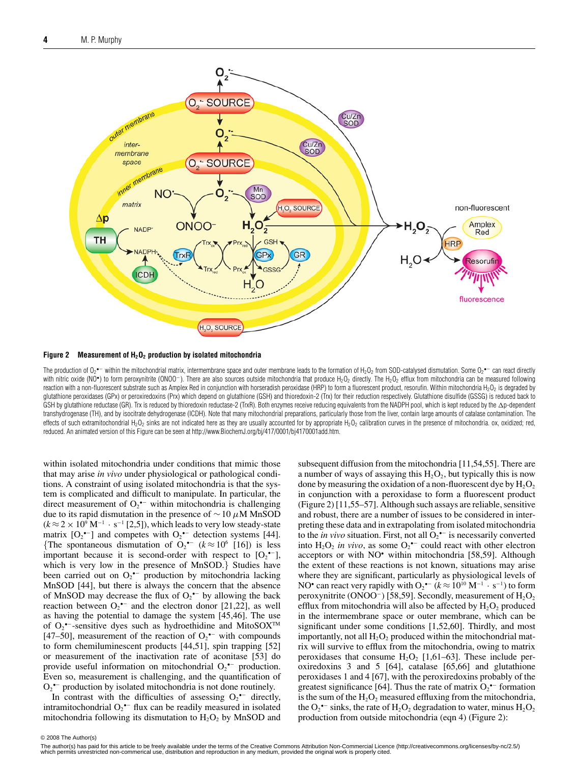

**Figure 2 Measurement of H2O2 production by isolated mitochondria**

The production of O<sub>2</sub>•− within the mitochondrial matrix, intermembrane space and outer membrane leads to the formation of H<sub>2</sub>O<sub>2</sub> from SOD-catalysed dismutation. Some O<sub>2</sub>•− can react directly with nitric oxide (NO•) to form peroxynitrite (ONOO<sup>-</sup>). There are also sources outside mitochondria that produce H<sub>2</sub>O<sub>2</sub> directly. The H<sub>2</sub>O<sub>2</sub> efflux from mitochondria can be measured following reaction with a non-fluorescent substrate such as Amplex Red in conjunction with horseradish peroxidase (HRP) to form a fluorescent product, resorufin. Within mitochondria H<sub>2</sub>O<sub>2</sub> is degraded by glutathione peroxidases (GPx) or peroxiredoxins (Prx) which depend on glutathione (GSH) and thioredoxin-2 (Trx) for their reduction respectively. Glutathione disulfide (GSSG) is reduced back to GSH by glutathione reductase (GR). Trx is reduced by thioredoxin reductase-2 (TrxR). Both enzymes receive reducing equivalents from the NADPH pool, which is kept reduced by the  $\Delta$ p-dependent transhydrogenase (TH), and by isocitrate dehydrogenase (ICDH). Note that many mitochondrial preparations, particularly those from the liver, contain large amounts of catalase contamination. The effects of such extramitochondrial H<sub>2</sub>O<sub>2</sub> sinks are not indicated here as they are usually accounted for by appropriate H<sub>2</sub>O<sub>2</sub> calibration curves in the presence of mitochondria. ox, oxidized; red, reduced. An animated version of this Figure can be seen at http://www.BiochemJ.org/bj/417/0001/bj4170001add.htm.

within isolated mitochondria under conditions that mimic those that may arise *in vivo* under physiological or pathological conditions. A constraint of using isolated mitochondria is that the system is complicated and difficult to manipulate. In particular, the direct measurement of  $O_2$ <sup>\*-</sup> within mitochondria is challenging due to its rapid dismutation in the presence of  $\sim$  10  $\mu$ M MnSOD  $(k \approx 2 \times 10^9 \text{ M}^{-1} \cdot \text{s}^{-1}$  [2,5]), which leads to very low steady-state matrix  $[O_2^{\bullet-}]$  and competes with  $O_2^{\bullet-}$  detection systems [44]. {The spontaneous dismutation of  $O_2$  ( $k \approx 10^6$  [16]) is less important because it is second-order with respect to  $[O_2^{\bullet-}]$ , which is very low in the presence of MnSOD.} Studies have been carried out on  $O_2$ <sup>\*-</sup> production by mitochondria lacking MnSOD [44], but there is always the concern that the absence of MnSOD may decrease the flux of  $O_2$ <sup>+-</sup> by allowing the back reaction between  $O_2$ <sup>\*-</sup> and the electron donor [21,22], as well as having the potential to damage the system [45,46]. The use of  $O_2$ <sup>\*-</sup>-sensitive dyes such as hydroethidine and MitoSOX<sup>TM</sup> [47–50], measurement of the reaction of  $O_2$ <sup>•–</sup> with compounds to form chemiluminescent products [44,51], spin trapping [52] or measurement of the inactivation rate of aconitase [53] do provide useful information on mitochondrial  $O_2$ <sup>+-</sup> production. Even so, measurement is challenging, and the quantification of  $O_2$ <sup>•–</sup> production by isolated mitochondria is not done routinely.

In contrast with the difficulties of assessing  $O_2$ <sup>\*-</sup> directly, intramitochondrial  $O_2$ <sup>\*-</sup> flux can be readily measured in isolated mitochondria following its dismutation to  $H_2O_2$  by MnSOD and subsequent diffusion from the mitochondria [11,54,55]. There are a number of ways of assaying this  $H_2O_2$ , but typically this is now done by measuring the oxidation of a non-fluorescent dye by  $H_2O_2$ in conjunction with a peroxidase to form a fluorescent product (Figure 2) [11,55–57]. Although such assays are reliable, sensitive and robust, there are a number of issues to be considered in interpreting these data and in extrapolating from isolated mitochondria to the *in vivo* situation. First, not all  $O_2$ <sup> $\text{-}$ </sup> is necessarily converted into  $H_2O_2$  *in vivo*, as some  $O_2^{\bullet-}$  could react with other electron acceptors or with NO• within mitochondria [58,59]. Although the extent of these reactions is not known, situations may arise where they are significant, particularly as physiological levels of NO<sup>•</sup> can react very rapidly with  $O_2$ <sup>•–</sup>  $(k \approx 10^{10} \text{ M}^{-1} \cdot \text{s}^{-1})$  to form peroxynitrite (ONOO<sup>-</sup>) [58,59]. Secondly, measurement of  $H_2O_2$ efflux from mitochondria will also be affected by  $H_2O_2$  produced in the intermembrane space or outer membrane, which can be significant under some conditions [1,52,60]. Thirdly, and most importantly, not all  $H_2O_2$  produced within the mitochondrial matrix will survive to efflux from the mitochondria, owing to matrix peroxidases that consume  $H_2O_2$  [1,61–63]. These include peroxiredoxins 3 and 5 [64], catalase [65,66] and glutathione peroxidases 1 and 4 [67], with the peroxiredoxins probably of the greatest significance [64]. Thus the rate of matrix  $O_2^{\bullet-}$  formation is the sum of the  $H_2O_2$  measured effluxing from the mitochondria, the  $O_2$ <sup>+-</sup> sinks, the rate of  $H_2O_2$  degradation to water, minus  $H_2O_2$ production from outside mitochondria (eqn 4) (Figure 2):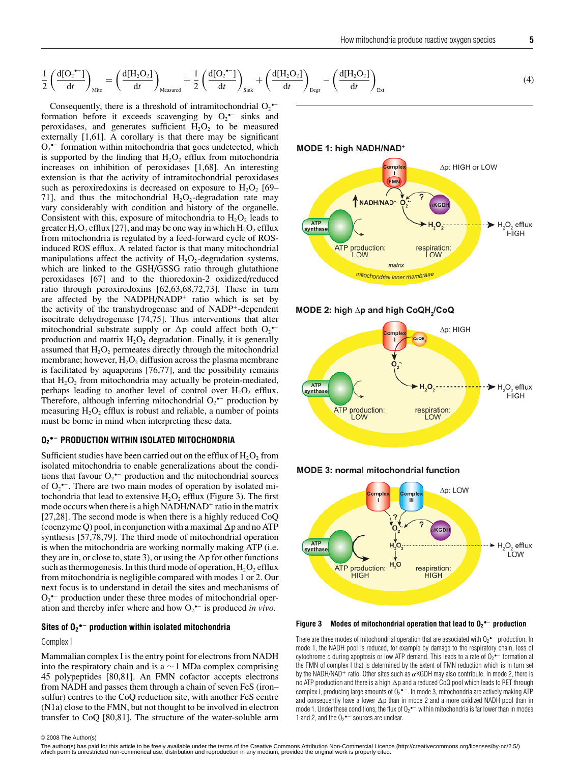$$
\frac{1}{2} \left( \frac{d[O_2^{\bullet -}]}{dt} \right)_{\text{Mito}} = \left( \frac{d[H_2O_2]}{dt} \right)_{\text{Measured}} + \frac{1}{2} \left( \frac{d[O_2^{\bullet -}]}{dt} \right)_{\text{Sink}} + \left( \frac{d[H_2O_2]}{dt} \right)_{\text{Deg}} - \left( \frac{d[H_2O_2]}{dt} \right)_{\text{Ext}} \tag{4}
$$

Consequently, there is a threshold of intramitochondrial  $O_2$ <sup>\*-</sup> formation before it exceeds scavenging by  $O_2$ <sup> $\text{-}$ </sup> sinks and peroxidases, and generates sufficient  $H_2O_2$  to be measured externally [1,61]. A corollary is that there may be significant  $O_2$ <sup>•–</sup> formation within mitochondria that goes undetected, which is supported by the finding that  $H_2O_2$  efflux from mitochondria increases on inhibition of peroxidases [1,68]. An interesting extension is that the activity of intramitochondrial peroxidases such as peroxiredoxins is decreased on exposure to  $H_2O_2$  [69– 71], and thus the mitochondrial  $H_2O_2$ -degradation rate may vary considerably with condition and history of the organelle. Consistent with this, exposure of mitochondria to  $H_2O_2$  leads to greater  $H_2O_2$  efflux [27], and may be one way in which  $H_2O_2$  efflux from mitochondria is regulated by a feed-forward cycle of ROSinduced ROS efflux. A related factor is that many mitochondrial manipulations affect the activity of  $H_2O_2$ -degradation systems, which are linked to the GSH/GSSG ratio through glutathione peroxidases [67] and to the thioredoxin-2 oxidized/reduced ratio through peroxiredoxins [62,63,68,72,73]. These in turn are affected by the NADPH/NADP<sup>+</sup> ratio which is set by the activity of the transhydrogenase and of NADP+-dependent isocitrate dehydrogenase [74,75]. Thus interventions that alter mitochondrial substrate supply or  $\Delta p$  could affect both  $O_2$ <sup>\*-</sup> production and matrix  $H_2O_2$  degradation. Finally, it is generally assumed that  $H_2O_2$  permeates directly through the mitochondrial membrane; however,  $H_2O_2$  diffusion across the plasma membrane is facilitated by aquaporins [76,77], and the possibility remains that  $H_2O_2$  from mitochondria may actually be protein-mediated, perhaps leading to another level of control over  $H_2O_2$  efflux. Therefore, although inferring mitochondrial  $O_2$ <sup>\*-</sup> production by measuring  $H_2O_2$  efflux is robust and reliable, a number of points must be borne in mind when interpreting these data.

#### **O2 •− PRODUCTION WITHIN ISOLATED MITOCHONDRIA**

Sufficient studies have been carried out on the efflux of  $H_2O_2$  from isolated mitochondria to enable generalizations about the conditions that favour  $O_2$ <sup> $\bullet$ </sup> production and the mitochondrial sources of  $O_2$ <sup> $\text{-}$ </sup>. There are two main modes of operation by isolated mitochondria that lead to extensive  $H_2O_2$  efflux (Figure 3). The first mode occurs when there is a high NADH/NAD<sup>+</sup> ratio in the matrix [27,28]. The second mode is when there is a highly reduced CoQ (coenzyme Q) pool, in conjunction with a maximal  $\Delta p$  and no ATP synthesis [57,78,79]. The third mode of mitochondrial operation is when the mitochondria are working normally making ATP (i.e. they are in, or close to, state 3), or using the  $\Delta p$  for other functions such as thermogenesis. In this third mode of operation,  $H_2O_2$  efflux from mitochondria is negligible compared with modes 1 or 2. Our next focus is to understand in detail the sites and mechanisms of  $O_2$ <sup>•–</sup> production under these three modes of mitochondrial operation and thereby infer where and how O2 •− is produced *in vivo*.

#### **Sites of O2 •− production within isolated mitochondria**

Complex I

Mammalian complex I is the entry point for electrons from NADH into the respiratory chain and is a  $\sim$  1 MDa complex comprising 45 polypeptides [80,81]. An FMN cofactor accepts electrons from NADH and passes them through a chain of seven FeS (iron– sulfur) centres to the CoQ reduction site, with another FeS centre (N1a) close to the FMN, but not thought to be involved in electron transfer to CoQ [80,81]. The structure of the water-soluble arm MODE 1: high NADH/NAD\*











**Figure 3 Modes of mitochondrial operation that lead to O2 •− production**

There are three modes of mitochondrial operation that are associated with  $O_2$ <sup>•–</sup> production. In mode 1, the NADH pool is reduced, for example by damage to the respiratory chain, loss of cytochrome c during apoptosis or low ATP demand. This leads to a rate of  $O_2$ <sup>\*-</sup> formation at the FMN of complex I that is determined by the extent of FMN reduction which is in turn set by the NADH/NAD+ ratio. Other sites such as  $\alpha$ KGDH may also contribute. In mode 2, there is no ATP production and there is a high  $\Delta$ p and a reduced CoQ pool which leads to RET through complex I, producing large amounts of  $O_2$ • $^-$ . In mode 3, mitochondria are actively making ATP and consequently have a lower  $\Delta p$  than in mode 2 and a more oxidized NADH pool than in mode 1. Under these conditions, the flux of O<sub>2</sub>  $-$  within mitochondria is far lower than in modes 1 and 2, and the  $O_2$ <sup>•-</sup> sources are unclear.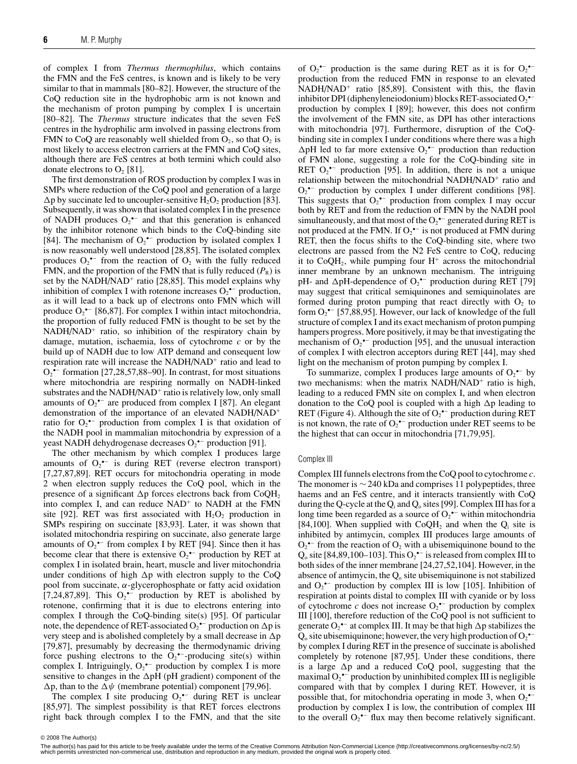of complex I from *Thermus thermophilus*, which contains the FMN and the FeS centres, is known and is likely to be very similar to that in mammals [80–82]. However, the structure of the CoQ reduction site in the hydrophobic arm is not known and the mechanism of proton pumping by complex I is uncertain [80–82]. The *Thermus* structure indicates that the seven FeS centres in the hydrophilic arm involved in passing electrons from FMN to CoQ are reasonably well shielded from  $O_2$ , so that  $O_2$  is most likely to access electron carriers at the FMN and CoQ sites, although there are FeS centres at both termini which could also donate electrons to  $O_2$  [81].

The first demonstration of ROS production by complex I was in SMPs where reduction of the CoQ pool and generation of a large  $\Delta p$  by succinate led to uncoupler-sensitive H<sub>2</sub>O<sub>2</sub> production [83]. Subsequently, it was shown that isolated complex I in the presence of NADH produces  $O_2$ <sup>\*-</sup> and that this generation is enhanced by the inhibitor rotenone which binds to the CoQ-binding site [84]. The mechanism of  $O_2^{\bullet-}$  production by isolated complex I is now reasonably well understood [28,85]. The isolated complex produces  $O_2$ <sup>•–</sup> from the reaction of  $O_2$  with the fully reduced FMN, and the proportion of the FMN that is fully reduced  $(P_R)$  is set by the NADH/NAD<sup>+</sup> ratio [28,85]. This model explains why inhibition of complex I with rotenone increases  $O_2^{\bullet-}$  production, as it will lead to a back up of electrons onto FMN which will produce  $O_2^{\bullet-}$  [86,87]. For complex I within intact mitochondria, the proportion of fully reduced FMN is thought to be set by the NADH/NAD<sup>+</sup> ratio, so inhibition of the respiratory chain by damage, mutation, ischaemia, loss of cytochrome *c* or by the build up of NADH due to low ATP demand and consequent low respiration rate will increase the NADH/NAD<sup>+</sup> ratio and lead to  $O_2$ <sup>•–</sup> formation [27,28,57,88–90]. In contrast, for most situations where mitochondria are respiring normally on NADH-linked substrates and the NADH/NAD<sup>+</sup> ratio is relatively low, only small amounts of  $O_2$ <sup>•–</sup> are produced from complex I [87]. An elegant demonstration of the importance of an elevated NADH/NAD<sup>+</sup> ratio for  $O_2$ <sup>•–</sup> production from complex I is that oxidation of the NADH pool in mammalian mitochondria by expression of a yeast NADH dehydrogenase decreases  $O_2$ <sup>•–</sup> production [91].

The other mechanism by which complex I produces large amounts of  $O_2$ <sup>\*-</sup> is during RET (reverse electron transport) [7,27,87,89]. RET occurs for mitochondria operating in mode 2 when electron supply reduces the CoQ pool, which in the presence of a significant  $\Delta p$  forces electrons back from CoQH<sub>2</sub> into complex I, and can reduce  $NAD<sup>+</sup>$  to  $NADH$  at the FMN site [92]. RET was first associated with  $H_2O_2$  production in SMPs respiring on succinate [83,93]. Later, it was shown that isolated mitochondria respiring on succinate, also generate large amounts of  $O_2$ <sup>\*-</sup> from complex I by RET [94]. Since then it has become clear that there is extensive  $O_2^{\bullet-}$  production by RET at complex I in isolated brain, heart, muscle and liver mitochondria under conditions of high  $\Delta p$  with electron supply to the CoQ pool from succinate,  $\alpha$ -glycerophosphate or fatty acid oxidation [7,24,87,89]. This  $O_2^{\bullet-}$  production by RET is abolished by rotenone, confirming that it is due to electrons entering into complex I through the CoQ-binding site(s) [95]. Of particular note, the dependence of RET-associated  $O_2$ <sup>-–</sup> production on  $\Delta p$  is very steep and is abolished completely by a small decrease in  $\Delta p$ [79,87], presumably by decreasing the thermodynamic driving force pushing electrons to the  $O_2^{\bullet-}$ -producing site(s) within complex I. Intriguingly,  $O_2^{\bullet-}$  production by complex I is more sensitive to changes in the  $\Delta$ pH (pH gradient) component of the  $\Delta p$ , than to the  $\Delta \psi$  (membrane potential) component [79,96].

The complex I site producing  $O_2$ <sup>\*-</sup> during RET is unclear [85,97]. The simplest possibility is that RET forces electrons right back through complex I to the FMN, and that the site of  $O_2^{\bullet-}$  production is the same during RET as it is for  $O_2^{\bullet-}$ production from the reduced FMN in response to an elevated NADH/NAD<sup>+</sup> ratio [85,89]. Consistent with this, the flavin inhibitor DPI (diphenyleneiodonium) blocks RET-associated  $O_2^{\bullet-}$ production by complex I [89]; however, this does not confirm the involvement of the FMN site, as DPI has other interactions with mitochondria [97]. Furthermore, disruption of the CoQbinding site in complex I under conditions where there was a high  $\Delta$ pH led to far more extensive O<sub>2</sub> $\sim$  production than reduction of FMN alone, suggesting a role for the CoQ-binding site in RET  $O_2$ <sup>\*-</sup> production [95]. In addition, there is not a unique relationship between the mitochondrial NADH/NAD<sup>+</sup> ratio and  $O_2$  •− production by complex I under different conditions [98]. This suggests that  $O_2^{\bullet-}$  production from complex I may occur both by RET and from the reduction of FMN by the NADH pool simultaneously, and that most of the  $O_2^{\bullet-}$  generated during RET is not produced at the FMN. If  $O_2$ <sup> $-$ </sup> is not produced at FMN during RET, then the focus shifts to the CoQ-binding site, where two electrons are passed from the N2 FeS centre to CoQ, reducing it to  $CoQH<sub>2</sub>$ , while pumping four  $H<sup>+</sup>$  across the mitochondrial inner membrane by an unknown mechanism. The intriguing pH- and  $\Delta$ pH-dependence of  $O_2$ <sup>+-</sup> production during RET [79] may suggest that critical semiquinones and semiquinolates are formed during proton pumping that react directly with  $O<sub>2</sub>$  to form  $O_2$ <sup>•–</sup> [57,88,95]. However, our lack of knowledge of the full structure of complex I and its exact mechanism of proton pumping hampers progress. More positively, it may be that investigating the mechanism of  $O_2^{\bullet-}$  production [95], and the unusual interaction of complex I with electron acceptors during RET [44], may shed light on the mechanism of proton pumping by complex I.

To summarize, complex I produces large amounts of  $O_2$ <sup> $\text{-}$ </sup> by two mechanisms: when the matrix NADH/NAD<sup>+</sup> ratio is high, leading to a reduced FMN site on complex I, and when electron donation to the CoQ pool is coupled with a high  $\Delta p$  leading to RET (Figure 4). Although the site of  $O_2^{\bullet-}$  production during RET is not known, the rate of  $O_2^{\bullet-}$  production under RET seems to be the highest that can occur in mitochondria [71,79,95].

#### Complex III

Complex III funnels electrons from the CoQ pool to cytochrome *c*. The monomer is  $\sim$  240 kDa and comprises 11 polypeptides, three haems and an FeS centre, and it interacts transiently with CoQ during the Q-cycle at the  $Q_i$  and  $Q_o$  sites [99]. Complex III has for a long time been regarded as a source of  $O_2$ <sup>•–</sup> within mitochondria [84,100]. When supplied with  $CoQH_2$  and when the  $Q_i$  site is inhibited by antimycin, complex III produces large amounts of  $O_2$ <sup>•–</sup> from the reaction of  $O_2$  with a ubisemiquinone bound to the Q<sub>o</sub> site [84,89,100–103]. This  $O_2$ <sup>\*-</sup> is released from complex III to both sides of the inner membrane [24,27,52,104]. However, in the absence of antimycin, the  $Q_0$  site ubisemiquinone is not stabilized and  $O_2$ <sup>\*-</sup> production by complex III is low [105]. Inhibition of respiration at points distal to complex III with cyanide or by loss of cytochrome  $c$  does not increase  $O_2$ <sup>\*-</sup> production by complex III [100], therefore reduction of the CoQ pool is not sufficient to generate  $O_2$ <sup>\*-</sup> at complex III. It may be that high  $\Delta p$  stabilizes the  $Q_0$  site ubisemiquinone; however, the very high production of  $O_2^{\bullet-}$ by complex I during RET in the presence of succinate is abolished completely by rotenone [87,95]. Under these conditions, there is a large  $\Delta p$  and a reduced CoQ pool, suggesting that the maximal  $O_2^{\bullet-}$  production by uninhibited complex III is negligible compared with that by complex I during RET. However, it is possible that, for mitochondria operating in mode 3, when  $O_2^{\bullet-}$ production by complex I is low, the contribution of complex III to the overall  $O_2$ <sup>+-</sup> flux may then become relatively significant.

<sup>© 2008</sup> The Author(s)<br>The author(s) has paid for this article to be freely available under the terms of the Creative Commons Attribution Non-Commercial Licence (http://creativecommons.org/licenses/by-nc/2.5/) which permits unrestricted non-commerical use, distribution and reproduction in any medium, provided the original work is properly cited.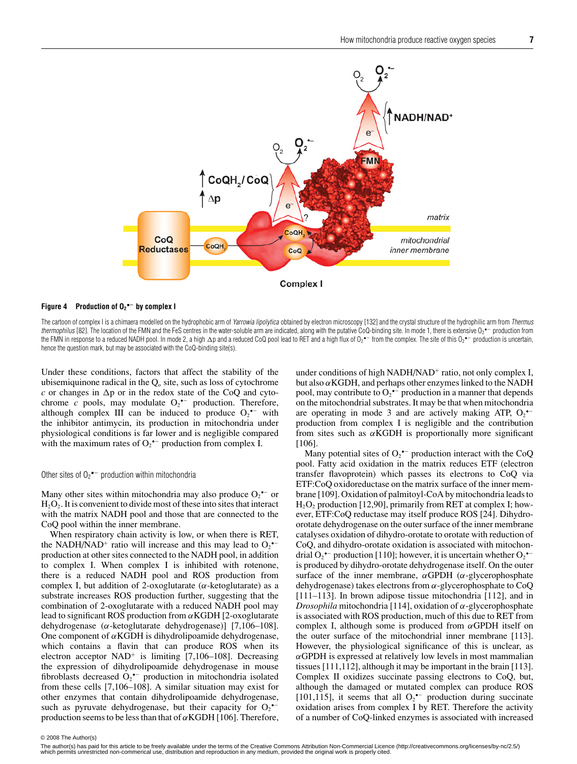

#### **Figure 4 Production of O2 •− by complex I**

The cartoon of complex I is a chimaera modelled on the hydrophobic arm of Yarrowia lipolytica obtained by electron microscopy [132] and the crystal structure of the hydrophilic arm from Thermus *thermophilus* [82]. The location of the FMN and the FeS centres in the water-soluble arm are indicated, along with the putative CoQ-binding site. In mode 1, there is extensive O<sub>2</sub> •− production from the FMN in response to a reduced NADH pool. In mode 2, a high ∆p and a reduced CoQ pool lead to RET and a high flux of O2\*− from the complex. The site of this O2\*− production is uncertain, hence the question mark, but may be associated with the CoQ-binding site(s).

Under these conditions, factors that affect the stability of the ubisemiquinone radical in the  $Q_0$  site, such as loss of cytochrome  $c$  or changes in  $\Delta p$  or in the redox state of the CoQ and cytochrome  $c$  pools, may modulate  $O_2$ <sup>\*-</sup> production. Therefore, although complex III can be induced to produce  $O_2$ <sup>\*-</sup> with the inhibitor antimycin, its production in mitochondria under physiological conditions is far lower and is negligible compared with the maximum rates of  $O_2^{\bullet-}$  production from complex I.

#### Other sites of  $O_2$ <sup>•–</sup> production within mitochondria

Many other sites within mitochondria may also produce  $O_2$ <sup>\*-</sup> or  $H_2O_2$ . It is convenient to divide most of these into sites that interact with the matrix NADH pool and those that are connected to the CoQ pool within the inner membrane.

When respiratory chain activity is low, or when there is RET, the NADH/NAD<sup>+</sup> ratio will increase and this may lead to  $O_2$ <sup> $\sim$ </sup> production at other sites connected to the NADH pool, in addition to complex I. When complex I is inhibited with rotenone, there is a reduced NADH pool and ROS production from complex I, but addition of 2-oxoglutarate ( $\alpha$ -ketoglutarate) as a substrate increases ROS production further, suggesting that the combination of 2-oxoglutarate with a reduced NADH pool may lead to significant ROS production from  $\alpha$ KGDH [2-oxoglutarate] dehydrogenase (α-ketoglutarate dehydrogenase)] [7,106–108]. One component of  $\alpha$ KGDH is dihydrolipoamide dehydrogenase, which contains a flavin that can produce ROS when its electron acceptor  $NAD^+$  is limiting [7,106–108]. Decreasing the expression of dihydrolipoamide dehydrogenase in mouse fibroblasts decreased  $O_2$ <sup>\*-</sup> production in mitochondria isolated from these cells [7,106–108]. A similar situation may exist for other enzymes that contain dihydrolipoamide dehydrogenase, such as pyruvate dehydrogenase, but their capacity for  $O_2$ <sup>--</sup> production seems to be less than that of  $\alpha$ KGDH [106]. Therefore, under conditions of high NADH/NAD<sup>+</sup> ratio, not only complex I, but also  $\alpha$ KGDH, and perhaps other enzymes linked to the NADH pool, may contribute to  $O_2$ <sup>\*-</sup> production in a manner that depends on the mitochondrial substrates. It may be that when mitochondria are operating in mode 3 and are actively making ATP,  $O_2$ <sup>\*-</sup> production from complex I is negligible and the contribution from sites such as  $\alpha$ KGDH is proportionally more significant [106].

Many potential sites of  $O_2^{\bullet-}$  production interact with the CoQ pool. Fatty acid oxidation in the matrix reduces ETF (electron transfer flavoprotein) which passes its electrons to CoQ via ETF:CoQ oxidoreductase on the matrix surface of the inner membrane [109]. Oxidation of palmitoyl-CoA by mitochondria leads to  $H<sub>2</sub>O<sub>2</sub>$  production [12,90], primarily from RET at complex I; however, ETF:CoQ reductase may itself produce ROS [24]. Dihydroorotate dehydrogenase on the outer surface of the inner membrane catalyses oxidation of dihydro-orotate to orotate with reduction of CoQ, and dihydro-orotate oxidation is associated with mitochondrial  $O_2$ <sup>\*-</sup> production [110]; however, it is uncertain whether  $O_2$ <sup>\*-</sup> is produced by dihydro-orotate dehydrogenase itself. On the outer surface of the inner membrane,  $\alpha$ GPDH ( $\alpha$ -glycerophosphate dehydrogenase) takes electrons from  $\alpha$ -glycerophosphate to CoQ [111–113]. In brown adipose tissue mitochondria [112], and in *Drosophila* mitochondria [114], oxidation of α-glycerophosphate is associated with ROS production, much of this due to RET from complex I, although some is produced from  $\alpha$ GPDH itself on the outer surface of the mitochondrial inner membrane [113]. However, the physiological significance of this is unclear, as  $\alpha$ GPDH is expressed at relatively low levels in most mammalian tissues [111,112], although it may be important in the brain [113]. Complex II oxidizes succinate passing electrons to CoQ, but, although the damaged or mutated complex can produce ROS [101,115], it seems that all  $O_2$ <sup>\*-</sup> production during succinate oxidation arises from complex I by RET. Therefore the activity of a number of CoQ-linked enzymes is associated with increased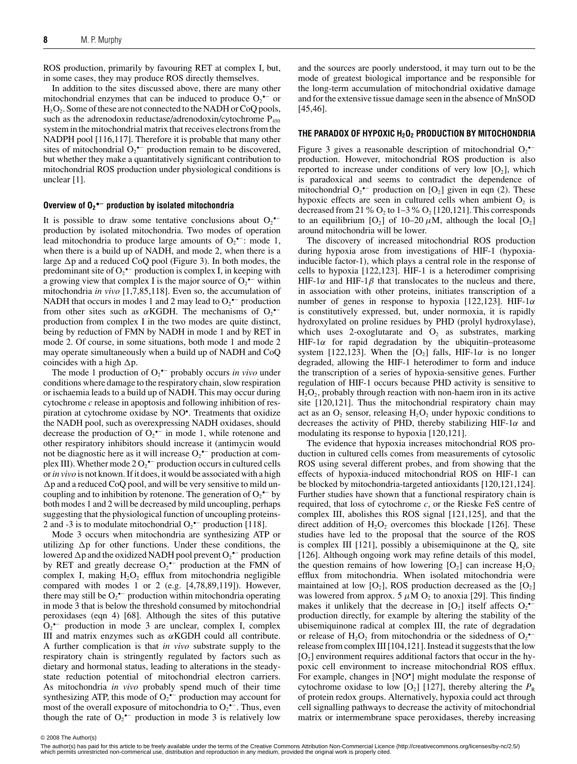ROS production, primarily by favouring RET at complex I, but, in some cases, they may produce ROS directly themselves.

In addition to the sites discussed above, there are many other mitochondrial enzymes that can be induced to produce  $O_2$ <sup> $\text{-}$ </sup> or  $H_2O_2$ . Some of these are not connected to the NADH or CoQ pools, such as the adrenodoxin reductase/adrenodoxin/cytochrome  $P_{450}$ system in the mitochondrial matrix that receives electrons from the NADPH pool [116,117]. Therefore it is probable that many other sites of mitochondrial  $O_2$ <sup>•–</sup> production remain to be discovered, but whether they make a quantitatively significant contribution to mitochondrial ROS production under physiological conditions is unclear [1].

### **Overview of O2 •− production by isolated mitochondria**

It is possible to draw some tentative conclusions about  $O_2$ <sup>\*-</sup> production by isolated mitochondria. Two modes of operation lead mitochondria to produce large amounts of  $O_2$ <sup>•–</sup>: mode 1, when there is a build up of NADH, and mode 2, when there is a large  $\Delta p$  and a reduced CoQ pool (Figure 3). In both modes, the predominant site of  $O_2^{\bullet-}$  production is complex I, in keeping with a growing view that complex I is the major source of  $O_2$ <sup> $\bullet$ –</sup> within mitochondria *in vivo* [1,7,85,118]. Even so, the accumulation of NADH that occurs in modes 1 and 2 may lead to  $O_2$ <sup> $\sim$ –</sup> production from other sites such as  $\alpha$ KGDH. The mechanisms of O<sub>2</sub> $\bullet$ production from complex I in the two modes are quite distinct, being by reduction of FMN by NADH in mode 1 and by RET in mode 2. Of course, in some situations, both mode 1 and mode 2 may operate simultaneously when a build up of NADH and CoQ coincides with a high  $\Delta p.$ 

The mode 1 production of  $O_2$ <sup>•–</sup> probably occurs *in vivo* under conditions where damage to the respiratory chain, slow respiration or ischaemia leads to a build up of NADH. This may occur during cytochrome *c* release in apoptosis and following inhibition of respiration at cytochrome oxidase by NO• . Treatments that oxidize the NADH pool, such as overexpressing NADH oxidases, should decrease the production of  $O_2$ <sup> $\text{-}$ </sup> in mode 1, while rotenone and other respiratory inhibitors should increase it (antimycin would not be diagnostic here as it will increase  $O_2$ <sup> $-$ </sup> production at complex III). Whether mode 2  $O_2$ <sup>\*-</sup> production occurs in cultured cells or*in vivo* is not known. If it does, it would be associated with a high -p and a reduced CoQ pool, and will be very sensitive to mild uncoupling and to inhibition by rotenone. The generation of  $O_2$ <sup> $\text{-}$ </sup> by both modes 1 and 2 will be decreased by mild uncoupling, perhaps suggesting that the physiological function of uncoupling proteins-2 and -3 is to modulate mitochondrial  $O_2$ <sup>•–</sup> production [118].

Mode 3 occurs when mitochondria are synthesizing ATP or utilizing  $\Delta p$  for other functions. Under these conditions, the lowered  $\Delta p$  and the oxidized NADH pool prevent  $O_2$   $\hspace{-1em}\rule{0.1mm}{1.1ex}\hspace{-1em}\rule{0.1mm}{1.5pt}$  production by RET and greatly decrease  $O_2$ <sup>\*-</sup> production at the FMN of complex I, making  $H_2O_2$  efflux from mitochondria negligible compared with modes 1 or 2 (e.g. [4,78,89,119]). However, there may still be  $O_2$ <sup>\*-</sup> production within mitochondria operating in mode 3 that is below the threshold consumed by mitochondrial peroxidases (eqn 4) [68]. Although the sites of this putative  $O_2$ <sup>•–</sup> production in mode 3 are unclear, complex I, complex III and matrix enzymes such as  $\alpha$ KGDH could all contribute. A further complication is that *in vivo* substrate supply to the respiratory chain is stringently regulated by factors such as dietary and hormonal status, leading to alterations in the steadystate reduction potential of mitochondrial electron carriers. As mitochondria *in vivo* probably spend much of their time synthesizing ATP, this mode of  $O_2$ <sup>+-</sup> production may account for most of the overall exposure of mitochondria to  $O_2$ <sup> $-$ </sup>. Thus, even though the rate of  $O_2^{\bullet-}$  production in mode 3 is relatively low

and the sources are poorly understood, it may turn out to be the mode of greatest biological importance and be responsible for the long-term accumulation of mitochondrial oxidative damage and for the extensive tissue damage seen in the absence of MnSOD [45,46].

#### **THE PARADOX OF HYPOXIC H2O2 PRODUCTION BY MITOCHONDRIA**

Figure 3 gives a reasonable description of mitochondrial  $O_2$ <sup>•–</sup> production. However, mitochondrial ROS production is also reported to increase under conditions of very low  $[O_2]$ , which is paradoxical and seems to contradict the dependence of mitochondrial  $O_2^{\bullet-}$  production on  $[O_2]$  given in eqn (2). These hypoxic effects are seen in cultured cells when ambient  $O_2$  is decreased from 21 %  $O_2$  to 1–3 %  $O_2$  [120,121]. This corresponds to an equilibrium  $[O_2]$  of 10–20  $\mu$ M, although the local  $[O_2]$ around mitochondria will be lower.

The discovery of increased mitochondrial ROS production during hypoxia arose from investigations of HIF-1 (hypoxiainducible factor-1), which plays a central role in the response of cells to hypoxia [122,123]. HIF-1 is a heterodimer comprising HIF-1 $\alpha$  and HIF-1 $\beta$  that translocates to the nucleus and there, in association with other proteins, initiates transcription of a number of genes in response to hypoxia [122,123]. HIF-1 $\alpha$ is constitutively expressed, but, under normoxia, it is rapidly hydroxylated on proline residues by PHD (prolyl hydroxylase), which uses 2-oxoglutarate and  $O_2$  as substrates, marking HIF-1 $\alpha$  for rapid degradation by the ubiquitin–proteasome system [122,123]. When the  $[O_2]$  falls, HIF-1 $\alpha$  is no longer degraded, allowing the HIF-1 heterodimer to form and induce the transcription of a series of hypoxia-sensitive genes. Further regulation of HIF-1 occurs because PHD activity is sensitive to  $H<sub>2</sub>O<sub>2</sub>$ , probably through reaction with non-haem iron in its active site [120,121]. Thus the mitochondrial respiratory chain may act as an  $O_2$  sensor, releasing  $H_2O_2$  under hypoxic conditions to decreases the activity of PHD, thereby stabilizing HIF-1 $\alpha$  and modulating its response to hypoxia [120,121].

The evidence that hypoxia increases mitochondrial ROS production in cultured cells comes from measurements of cytosolic ROS using several different probes, and from showing that the effects of hypoxia-induced mitochondrial ROS on HIF-1 can be blocked by mitochondria-targeted antioxidants [120,121,124]. Further studies have shown that a functional respiratory chain is required, that loss of cytochrome *c*, or the Rieske FeS centre of complex III, abolishes this ROS signal [121,125], and that the direct addition of  $H_2O_2$  overcomes this blockade [126]. These studies have led to the proposal that the source of the ROS is complex III [121], possibly a ubisemiquinone at the  $Q_0$  site [126]. Although ongoing work may refine details of this model, the question remains of how lowering  $[O_2]$  can increase  $H_2O_2$ efflux from mitochondria. When isolated mitochondria were maintained at low  $[O_2]$ , ROS production decreased as the  $[O_2]$ was lowered from approx. 5  $\mu$ M O<sub>2</sub> to anoxia [29]. This finding makes it unlikely that the decrease in  $[O_2]$  itself affects  $O_2^{\bullet-}$ production directly, for example by altering the stability of the ubisemiquinone radical at complex III, the rate of degradation or release of  $H_2O_2$  from mitochondria or the sidedness of  $O_2^{\bullet-}$ release from complex III [104,121]. Instead it suggests that the low  $[O_2]$  environment requires additional factors that occur in the hypoxic cell environment to increase mitochondrial ROS efflux. For example, changes in [NO• ] might modulate the response of cytochrome oxidase to low  $[O_2]$  [127], thereby altering the  $P_R$ of protein redox groups. Alternatively, hypoxia could act through cell signalling pathways to decrease the activity of mitochondrial matrix or intermembrane space peroxidases, thereby increasing

 $©$  2008 The Author(s)

<sup>© 2008</sup> The Author(s)<br>The author(s) has paid for this article to be freely available under the terms of the Creative Commons Attribution Non-Commercial Licence (http://creativecommons.org/licenses/by-nc/2.5/) which permits unrestricted non-commerical use, distribution and reproduction in any medium, provided the original work is properly cited.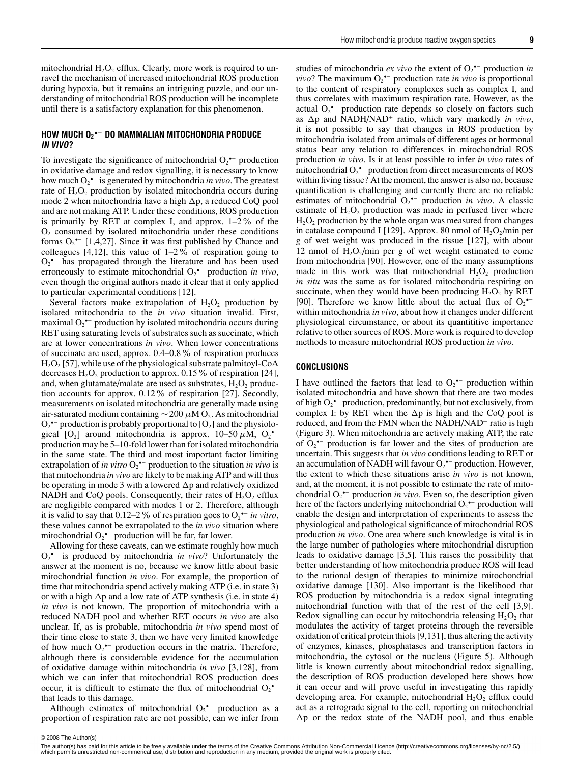mitochondrial  $H_2O_2$  efflux. Clearly, more work is required to unravel the mechanism of increased mitochondrial ROS production during hypoxia, but it remains an intriguing puzzle, and our understanding of mitochondrial ROS production will be incomplete until there is a satisfactory explanation for this phenomenon.

#### **HOW MUCH O2 •− DO MAMMALIAN MITOCHONDRIA PRODUCE IN VIVO?**

To investigate the significance of mitochondrial  $O_2^{\bullet-}$  production in oxidative damage and redox signalling, it is necessary to know how much O2 •− is generated by mitochondria *in vivo*. The greatest rate of  $H_2O_2$  production by isolated mitochondria occurs during mode 2 when mitochondria have a high  $\Delta p$ , a reduced CoQ pool and are not making ATP. Under these conditions, ROS production is primarily by RET at complex I, and approx. 1–2% of the  $O<sub>2</sub>$  consumed by isolated mitochondria under these conditions forms  $O_2^{\bullet-}$  [1,4,27]. Since it was first published by Chance and colleagues  $[4,12]$ , this value of  $1-2\%$  of respiration going to  $O_2$ <sup>•–</sup> has propagated through the literature and has been used erroneously to estimate mitochondrial O<sub>2</sub><sup>•−</sup> production *in vivo*, even though the original authors made it clear that it only applied to particular experimental conditions [12].

Several factors make extrapolation of  $H_2O_2$  production by isolated mitochondria to the *in vivo* situation invalid. First, maximal  $O_2$ <sup>•–</sup> production by isolated mitochondria occurs during RET using saturating levels of substrates such as succinate, which are at lower concentrations *in vivo*. When lower concentrations of succinate are used, approx. 0.4–0.8% of respiration produces  $H<sub>2</sub>O<sub>2</sub>$  [57], while use of the physiological substrate palmitoyl-CoA decreases  $H_2O_2$  production to approx. 0.15% of respiration [24], and, when glutamate/malate are used as substrates,  $H_2O_2$  production accounts for approx. 0.12% of respiration [27]. Secondly, measurements on isolated mitochondria are generally made using air-saturated medium containing  $\sim$  200  $\mu$ M O<sub>2</sub>. As mitochondrial  $O_2$ •<sup>–</sup> production is probably proportional to [ $O_2$ ] and the physiological [O<sub>2</sub>] around mitochondria is approx. 10–50  $\mu$ M, O<sub>2</sub><sup>•–</sup> production may be 5–10-fold lower than for isolated mitochondria in the same state. The third and most important factor limiting extrapolation of *in vitro* O2 •− production to the situation *in vivo* is that mitochondria *in vivo* are likely to be making ATP and will thus be operating in mode 3 with a lowered  $\Delta p$  and relatively oxidized NADH and CoQ pools. Consequently, their rates of  $H_2O_2$  efflux are negligible compared with modes 1 or 2. Therefore, although it is valid to say that  $0.12–2\%$  of respiration goes to  $O_2$ <sup>•–</sup> *in vitro*, these values cannot be extrapolated to the *in vivo* situation where mitochondrial  $O_2$ <sup>\*-</sup> production will be far, far lower.

Allowing for these caveats, can we estimate roughly how much O2 •− is produced by mitochondria *in vivo*? Unfortunately the answer at the moment is no, because we know little about basic mitochondrial function *in vivo*. For example, the proportion of time that mitochondria spend actively making ATP (i.e. in state 3) or with a high  $\Delta p$  and a low rate of ATP synthesis (i.e. in state 4) *in vivo* is not known. The proportion of mitochondria with a reduced NADH pool and whether RET occurs *in vivo* are also unclear. If, as is probable, mitochondria *in vivo* spend most of their time close to state 3, then we have very limited knowledge of how much  $O_2^{\bullet-}$  production occurs in the matrix. Therefore, although there is considerable evidence for the accumulation of oxidative damage within mitochondria *in vivo* [3,128], from which we can infer that mitochondrial ROS production does occur, it is difficult to estimate the flux of mitochondrial  $O_2$ <sup>\*-</sup> that leads to this damage.

Although estimates of mitochondrial  $O_2$ <sup>-</sup> production as a proportion of respiration rate are not possible, can we infer from

studies of mitochondria *ex vivo* the extent of O2 •− production *in ? The maximum*  $O_2$ *<sup>\*-</sup> production rate <i>in vivo* is proportional to the content of respiratory complexes such as complex I, and thus correlates with maximum respiration rate. However, as the actual  $O_2$ <sup>•–</sup> production rate depends so closely on factors such as  $\Delta p$  and NADH/NAD<sup>+</sup> ratio, which vary markedly *in vivo*, it is not possible to say that changes in ROS production by mitochondria isolated from animals of different ages or hormonal status bear any relation to differences in mitochondrial ROS

production *in vivo*. Is it at least possible to infer *in vivo* rates of mitochondrial  $O_2^{\bullet-}$  production from direct measurements of ROS within living tissue? At the moment, the answer is also no, because quantification is challenging and currently there are no reliable estimates of mitochondrial O<sub>2</sub><sup>•−</sup> production *in vivo*. A classic estimate of  $H_2O_2$  production was made in perfused liver where  $H<sub>2</sub>O<sub>2</sub>$  production by the whole organ was measured from changes in catalase compound I [129]. Approx. 80 nmol of  $H_2O_2/m$ in per g of wet weight was produced in the tissue [127], with about 12 nmol of  $H_2O_2/m$ in per g of wet weight estimated to come from mitochondria [90]. However, one of the many assumptions made in this work was that mitochondrial  $H_2O_2$  production *in situ* was the same as for isolated mitochondria respiring on succinate, when they would have been producing  $H_2O_2$  by RET [90]. Therefore we know little about the actual flux of  $O_2^{\bullet-}$ within mitochondria *in vivo*, about how it changes under different physiological circumstance, or about its quantititive importance relative to other sources of ROS. More work is required to develop methods to measure mitochondrial ROS production *in vivo*.

#### **CONCLUSIONS**

I have outlined the factors that lead to  $O_2^{\bullet-}$  production within isolated mitochondria and have shown that there are two modes of high  $O_2^{\bullet-}$  production, predominantly, but not exclusively, from complex I: by RET when the  $\Delta p$  is high and the CoQ pool is reduced, and from the FMN when the NADH/NAD<sup>+</sup> ratio is high (Figure 3). When mitochondria are actively making ATP, the rate of  $O_2$ <sup>•–</sup> production is far lower and the sites of production are uncertain. This suggests that *in vivo* conditions leading to RET or an accumulation of NADH will favour  $O_2$ <sup>\*-</sup> production. However, the extent to which these situations arise *in vivo* is not known, and, at the moment, it is not possible to estimate the rate of mitochondrial  $O_2$ <sup>\*-</sup> production *in vivo*. Even so, the description given here of the factors underlying mitochondrial  $O_2$ <sup> $-$ </sup> production will enable the design and interpretation of experiments to assess the physiological and pathological significance of mitochondrial ROS production *in vivo*. One area where such knowledge is vital is in the large number of pathologies where mitochondrial disruption leads to oxidative damage [3,5]. This raises the possibility that better understanding of how mitochondria produce ROS will lead to the rational design of therapies to minimize mitochondrial oxidative damage [130]. Also important is the likelihood that ROS production by mitochondria is a redox signal integrating mitochondrial function with that of the rest of the cell [3,9]. Redox signalling can occur by mitochondria releasing  $H_2O_2$  that modulates the activity of target proteins through the reversible oxidation of critical protein thiols [9,131], thus altering the activity of enzymes, kinases, phosphatases and transcription factors in mitochondria, the cytosol or the nucleus (Figure 5). Although little is known currently about mitochondrial redox signalling, the description of ROS production developed here shows how it can occur and will prove useful in investigating this rapidly developing area. For example, mitochondrial  $H_2O_2$  efflux could act as a retrograde signal to the cell, reporting on mitochondrial  $\Delta p$  or the redox state of the NADH pool, and thus enable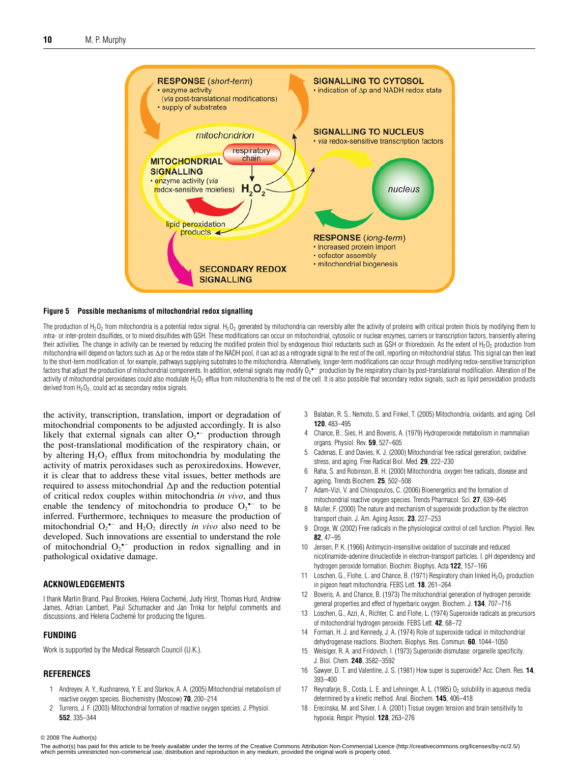

#### **Figure 5 Possible mechanisms of mitochondrial redox signalling**

The production of H<sub>2</sub>O<sub>2</sub> from mitochondria is a potential redox signal. H<sub>2</sub>O<sub>2</sub> generated by mitochondria can reversibly alter the activity of proteins with critical protein thiols by modifying them to intra- or inter-protein disulfides, or to mixed disulfides with GSH. These modifications can occur on mitochondrial, cytosolic or nuclear enzymes, carriers or transcription factors, transiently altering their activities. The change in activity can be reversed by reducing the modified protein thiol by endogenous thiol reductants such as GSH or thioredoxin. As the extent of H<sub>2</sub>O<sub>2</sub> production from mitochondria will depend on factors such as  $\Delta$ p or the redox state of the NADH pool, it can act as a retrograde signal to the rest of the cell, reporting on mitochondrial status. This signal can then lead to the short-term modification of, for example, pathways supplying substrates to the mitochondria. Alternatively, longer-term modifications can occur through modifying redox-sensitive transcription factors that adjust the production of mitochondrial components. In addition, external signals may modify  $0_2$   $\sim$  production by the respiratory chain by post-translational modification. Alteration of the activity of mitochondrial peroxidases could also modulate H<sub>2</sub>O<sub>2</sub> efflux from mitochondria to the rest of the cell. It is also possible that secondary redox signals, such as lipid peroxidation products derived from  $H_2O_2$ , could act as secondary redox signals.

the activity, transcription, translation, import or degradation of mitochondrial components to be adjusted accordingly. It is also likely that external signals can alter  $O_2$ <sup>\*-</sup> production through the post-translational modification of the respiratory chain, or by altering  $H_2O_2$  efflux from mitochondria by modulating the activity of matrix peroxidases such as peroxiredoxins. However, it is clear that to address these vital issues, better methods are required to assess mitochondrial  $\Delta p$  and the reduction potential of critical redox couples within mitochondria *in vivo*, and thus enable the tendency of mitochondria to produce  $O_2$ <sup>•–</sup> to be inferred. Furthermore, techniques to measure the production of mitochondrial  $O_2$ <sup>\*-</sup> and  $H_2O_2$  directly *in vivo* also need to be developed. Such innovations are essential to understand the role of mitochondrial  $O_2$  production in redox signalling and in pathological oxidative damage.

#### **ACKNOWLEDGEMENTS**

I thank Martin Brand, Paul Brookes, Helena Cocheme, Judy Hirst, Thomas Hurd, Andrew ´ James, Adrian Lambert, Paul Schumacker and Jan Trnka for helpful comments and discussions, and Helena Cochemé for producing the figures.

#### **FUNDING**

Work is supported by the Medical Research Council (U.K.).

#### **REFERENCES**

- 1 Andreyev, A. Y., Kushnareva, Y. E. and Starkov, A. A. (2005) Mitochondrial metabolism of reactive oxygen species. Biochemistry (Moscow) **70**, 200–214
- 2 Turrens, J. F. (2003) Mitochondrial formation of reactive oxygen species. J. Physiol. **552**, 335–344
- 3 Balaban, R. S., Nemoto, S. and Finkel, T. (2005) Mitochondria, oxidants, and aging. Cell **120**, 483–495
- 4 Chance, B., Sies, H. and Boveris, A. (1979) Hydroperoxide metabolism in mammalian organs. Physiol. Rev. **59**, 527–605
- 5 Cadenas, E. and Davies, K. J. (2000) Mitochondrial free radical generation, oxidative stress, and aging. Free Radical Biol. Med. **29**, 222–230
- 6 Raha, S. and Robinson, B. H. (2000) Mitochondria, oxygen free radicals, disease and ageing. Trends Biochem. **25**, 502–508
- 7 Adam-Vizi, V. and Chinopoulos, C. (2006) Bioenergetics and the formation of mitochondrial reactive oxygen species. Trends Pharmacol. Sci. **27**, 639–645
- Muller, F. (2000) The nature and mechanism of superoxide production by the electron transport chain. J. Am. Aging Assoc. **23**, 227–253
- 9 Droge, W. (2002) Free radicals in the physiological control of cell function. Physiol. Rev. **82**, 47–95
- 10 Jensen, P. K. (1966) Antimycin-insensitive oxidation of succinate and reduced nicotinamide-adenine dinucleotide in electron-transport particles. I. pH dependency and hydrogen peroxide formation. Biochim. Biophys. Acta **122**, 157–166
- 11 Loschen, G., Flohe, L. and Chance, B. (1971) Respiratory chain linked  $H_2O_2$  production in pigeon heart mitochondria. FEBS Lett. **18**, 261–264
- 12 Boveris, A. and Chance, B. (1973) The mitochondrial generation of hydrogen peroxide: general properties and effect of hyperbaric oxygen. Biochem. J. **134**, 707–716
- 13 Loschen, G., Azzi, A., Richter, C. and Flohe, L. (1974) Superoxide radicals as precursors of mitochondrial hydrogen peroxide. FEBS Lett. **42**, 68–72
- 14 Forman, H. J. and Kennedy, J. A. (1974) Role of superoxide radical in mitochondrial dehydrogenase reactions. Biochem. Biophys. Res. Commun. **60**, 1044–1050
- 15 Weisiger, R. A. and Fridovich, I. (1973) Superoxide dismutase: organelle specificity. J. Biol. Chem. **248**, 3582–3592
- 16 Sawyer, D. T. and Valentine, J. S. (1981) How super is superoxide? Acc. Chem. Res. **14**, 393–400
- 17 Reynafarje, B., Costa, L. E. and Lehninger, A. L. (1985)  $O<sub>2</sub>$  solubility in aqueous media determined by a kinetic method. Anal. Biochem. **145**, 406–418
- 18 Erecinska, M. and Silver, I. A. (2001) Tissue oxygen tension and brain sensitivity to hypoxia. Respir. Physiol. **128**, 263–276

#### $©$  2008 The Author(s)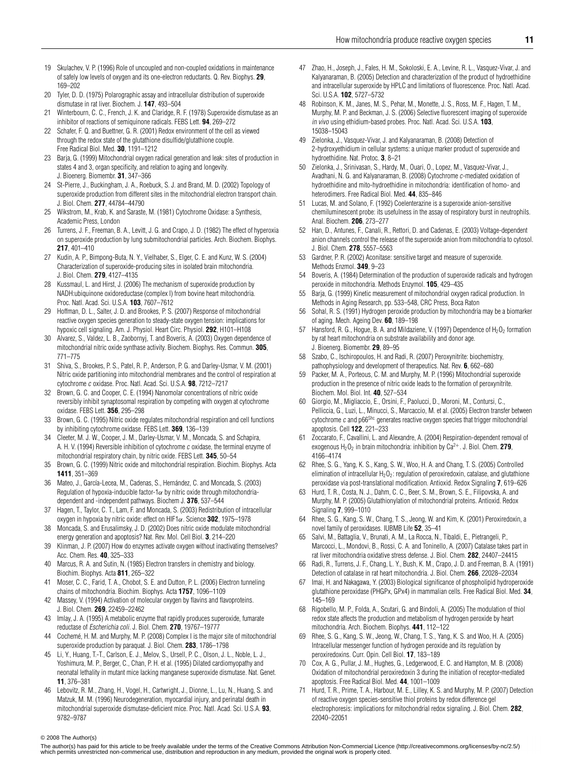- 19 Skulachev, V. P. (1996) Role of uncoupled and non-coupled oxidations in maintenance of safely low levels of oxygen and its one-electron reductants. Q. Rev. Biophys. **29**, 169–202
- 20 Tyler, D. D. (1975) Polarographic assay and intracellular distribution of superoxide dismutase in rat liver. Biochem. J. **147**, 493–504
- 21 Winterbourn, C. C., French, J. K. and Claridge, R. F. (1978) Superoxide dismutase as an inhibitor of reactions of semiquinone radicals. FEBS Lett. **94**, 269–272
- 22 Schafer, F. Q. and Buettner, G. R. (2001) Redox environment of the cell as viewed through the redox state of the glutathione disulfide/glutathione couple. Free Radical Biol. Med. **30**, 1191–1212
- 23 Barja, G. (1999) Mitochondrial oxygen radical generation and leak: sites of production in states 4 and 3, organ specificity, and relation to aging and longevity. J. Bioenerg. Biomembr. **31**, 347–366
- 24 St-Pierre, J., Buckingham, J. A., Roebuck, S. J. and Brand, M. D. (2002) Topology of superoxide production from different sites in the mitochondrial electron transport chain. J. Biol. Chem. **277**, 44784–44790
- 25 Wikstrom, M., Krab, K. and Saraste, M. (1981) Cytochrome Oxidase: a Synthesis, Academic Press, London
- 26 Turrens, J. F., Freeman, B. A., Levitt, J. G. and Crapo, J. D. (1982) The effect of hyperoxia on superoxide production by lung submitochondrial particles. Arch. Biochem. Biophys. **217**, 401–410
- 27 Kudin, A. P., Bimpong-Buta, N. Y., Vielhaber, S., Elger, C. E. and Kunz, W. S. (2004) Characterization of superoxide-producing sites in isolated brain mitochondria. J. Biol. Chem. **279**, 4127–4135
- 28 Kussmaul, L. and Hirst, J. (2006) The mechanism of superoxide production by NADH:ubiquinone oxidoreductase (complex I) from bovine heart mitochondria. Proc. Natl. Acad. Sci. U.S.A. **103**, 7607–7612
- 29 Hoffman, D. L., Salter, J. D. and Brookes, P. S. (2007) Response of mitochondrial reactive oxygen species generation to steady-state oxygen tension: implications for hypoxic cell signaling. Am. J. Physiol. Heart Circ. Physiol. **292**, H101–H108
- 30 Alvarez, S., Valdez, L. B., Zaobornyj, T. and Boveris, A. (2003) Oxygen dependence of mitochondrial nitric oxide synthase activity. Biochem. Biophys. Res. Commun. **305**, 771–775
- 31 Shiva, S., Brookes, P. S., Patel, R. P., Anderson, P. G. and Darley-Usmar, V. M. (2001) Nitric oxide partitioning into mitochondrial membranes and the control of respiration at cytochrome <sup>c</sup> oxidase. Proc. Natl. Acad. Sci. U.S.A. **98**, 7212–7217
- 32 Brown, G. C. and Cooper, C. E. (1994) Nanomolar concentrations of nitric oxide reversibly inhibit synaptosomal respiration by competing with oxygen at cytochrome oxidase. FEBS Lett. **356**, 295–298
- 33 Brown, G. C. (1995) Nitric oxide regulates mitochondrial respiration and cell functions by inhibiting cytochrome oxidase. FEBS Lett. **369**, 136–139
- 34 Cleeter, M. J. W., Cooper, J. M., Darley-Usmar, V. M., Moncada, S. and Schapira, A. H. V. (1994) Reversible inhibition of cytochrome <sup>c</sup> oxidase, the terminal enzyme of mitochondrial respiratory chain, by nitric oxide. FEBS Lett. **345**, 50–54
- 35 Brown, G. C. (1999) Nitric oxide and mitochondrial respiration. Biochim. Biophys. Acta **1411**, 351–369
- 36 Mateo, J., García-Lecea, M., Cadenas, S., Hernández, C. and Moncada, S. (2003) Regulation of hypoxia-inducible factor-1 $\alpha$  by nitric oxide through mitochondriadependent and -independent pathways. Biochem J. **376**, 537–544
- 37 Hagen, T., Taylor, C. T., Lam, F. and Moncada, S. (2003) Redistribution of intracellular oxygen in hypoxia by nitric oxide: effect on HIF1α. Science **302**, 1975–1978
- 38 Moncada, S. and Erusalimsky, J. D. (2002) Does nitric oxide modulate mitochondrial energy generation and apoptosis? Nat. Rev. Mol. Cell Biol. **3**, 214–220
- 39 Klinman, J. P. (2007) How do enzymes activate oxygen without inactivating themselves? Acc. Chem. Res. **40**, 325–333
- 40 Marcus, R. A. and Sutin, N. (1985) Electron transfers in chemistry and biology. Biochim. Biophys. Acta **811**, 265–322
- 41 Moser, C. C., Farid, T. A., Chobot, S. E. and Dutton, P. L. (2006) Electron tunneling chains of mitochondria. Biochim. Biophys. Acta **1757**, 1096–1109
- 42 Massey, V. (1994) Activation of molecular oxygen by flavins and flavoproteins. J. Biol. Chem. **269**, 22459–22462
- 43 Imlay, J. A. (1995) A metabolic enzyme that rapidly produces superoxide, fumarate reductase of Escherichia coli. J. Biol. Chem. **270**, 19767–19777
- Cochemé, H. M. and Murphy, M. P. (2008) Complex I is the major site of mitochondrial superoxide production by paraquat. J. Biol. Chem. **283**, 1786–1798
- 45 Li, Y., Huang, T.-T., Carlson, E. J., Melov, S., Ursell, P. C., Olson, J. L., Noble, L. J., Yoshimura, M. P., Berger, C., Chan, P. H. et al. (1995) Dilated cardiomyopathy and neonatal lethality in mutant mice lacking manganese superoxide dismutase. Nat. Genet. **11**, 376–381
- 46 Lebovitz, R. M., Zhang, H., Vogel, H., Cartwright, J., Dionne, L., Lu, N., Huang, S. and Matzuk, M. M. (1996) Neurodegeneration, myocardial injury, and perinatal death in mitochondrial superoxide dismutase-deficient mice. Proc. Natl. Acad. Sci. U.S.A. **93**, 9782–9787
- 47 Zhao, H., Joseph, J., Fales, H. M., Sokoloski, E. A., Levine, R. L., Vasquez-Vivar, J. and Kalyanaraman, B. (2005) Detection and characterization of the product of hydroethidine and intracellular superoxide by HPLC and limitations of fluorescence. Proc. Natl. Acad. Sci. U.S.A. **102**, 5727–5732
- 48 Robinson, K. M., Janes, M. S., Pehar, M., Monette, J. S., Ross, M. F., Hagen, T. M., Murphy, M. P. and Beckman, J. S. (2006) Selective fluorescent imaging of superoxide in vivo using ethidium-based probes. Proc. Natl. Acad. Sci. U.S.A. **103**, 15038–15043
- 49 Zielonka, J., Vasquez-Vivar, J. and Kalyanaraman, B. (2008) Detection of 2-hydroxyethidium in cellular systems: a unique marker product of superoxide and hydroethidine. Nat. Protoc. **3**, 8–21
- 50 Zielonka, J., Srinivasan, S., Hardy, M., Ouari, O., Lopez, M., Vasquez-Vivar, J., Avadhani, N. G. and Kalyanaraman, B. (2008) Cytochrome <sup>c</sup>-mediated oxidation of hydroethidine and mito-hydroethidine in mitochondria: identification of homo- and heterodimers. Free Radical Biol. Med. **44**, 835–846
- 51 Lucas, M. and Solano, F. (1992) Coelenterazine is a superoxide anion-sensitive chemiluminescent probe: its usefulness in the assay of respiratory burst in neutrophils. Anal. Biochem. **206**, 273–277
- 52 Han, D., Antunes, F., Canali, R., Rettori, D. and Cadenas, E. (2003) Voltage-dependent anion channels control the release of the superoxide anion from mitochondria to cytosol. J. Biol. Chem. **278**, 5557–5563
- 53 Gardner, P. R. (2002) Aconitase: sensitive target and measure of superoxide. Methods Enzmol. **349**, 9–23
- 54 Boveris, A. (1984) Determination of the production of superoxide radicals and hydrogen peroxide in mitochondria. Methods Enzymol. **105**, 429–435
- 55 Barja, G. (1999) Kinetic measurement of mitochondrial oxygen radical production. In Methods in Aging Research, pp. 533–548, CRC Press, Boca Raton
- 56 Sohal, R. S. (1991) Hydrogen peroxide production by mitochondria may be a biomarker of aging. Mech. Ageing Dev. **60**, 189–198
- 57 Hansford, R. G., Hogue, B. A. and Mildaziene, V. (1997) Dependence of  $H_2O_2$  formation by rat heart mitochondria on substrate availability and donor age. J. Bioenerg. Biomembr. **29**, 89–95
- 58 Szabo, C., Ischiropoulos, H. and Radi, R. (2007) Peroxynitrite: biochemistry, pathophysiology and development of therapeutics. Nat. Rev. **6**, 662–680
- 59 Packer, M. A., Porteous, C. M. and Murphy, M. P. (1996) Mitochondrial superoxide production in the presence of nitric oxide leads to the formation of peroxynitrite. Biochem. Mol. Biol. Int. **40**, 527–534
- 60 Giorgio, M., Migliaccio, E., Orsini, F., Paolucci, D., Moroni, M., Contursi, C., Pelliccia, G., Luzi, L., Minucci, S., Marcaccio, M. et al. (2005) Electron transfer between cytochrome  $c$  and  $p66<sup>Shc</sup>$  generates reactive oxygen species that trigger mitochondrial apoptosis. Cell **122**, 221–233
- Zoccarato, F., Cavallini, L. and Alexandre, A. (2004) Respiration-dependent removal of exogenous H<sub>2</sub>O<sub>2</sub> in brain mitochondria: inhibition by Ca<sup>2+</sup>. J. Biol. Chem. **279**, 4166–4174
- 62 Rhee, S. G., Yang, K. S., Kang, S. W., Woo, H. A. and Chang, T. S. (2005) Controlled elimination of intracellular  $H_2O_2$ : regulation of peroxiredoxin, catalase, and glutathione peroxidase via post-translational modification. Antioxid. Redox Signaling **7**, 619–626
- 63 Hurd, T. R., Costa, N. J., Dahm, C. C., Beer, S. M., Brown, S. E., Filipovska, A. and Murphy, M. P. (2005) Glutathionylation of mitochondrial proteins. Antioxid. Redox Signaling **7**, 999–1010
- 64 Rhee, S. G., Kang, S. W., Chang, T. S., Jeong, W. and Kim, K. (2001) Peroxiredoxin, a novel family of peroxidases. IUBMB Life **52**, 35–41
- 65 Salvi, M., Battaglia, V., Brunati, A. M., La Rocca, N., Tibaldi, E., Pietrangeli, P., Marcocci, L., Mondovi, B., Rossi, C. A. and Toninello, A. (2007) Catalase takes part in rat liver mitochondria oxidative stress defense. J. Biol. Chem. **282**, 24407–24415
- 66 Radi, R., Turrens, J. F., Chang, L. Y., Bush, K. M., Crapo, J. D. and Freeman, B. A. (1991) Detection of catalase in rat heart mitochondria. J. Biol. Chem. **266**, 22028–22034
- 67 Imai, H. and Nakagawa, Y. (2003) Biological significance of phospholipid hydroperoxide glutathione peroxidase (PHGPx, GPx4) in mammalian cells. Free Radical Biol. Med. **34**, 145–169
- 68 Rigobello, M. P., Folda, A., Scutari, G. and Bindoli, A. (2005) The modulation of thiol redox state affects the production and metabolism of hydrogen peroxide by heart mitochondria. Arch. Biochem. Biophys. **441**, 112–122
- 69 Rhee, S. G., Kang, S. W., Jeong, W., Chang, T. S., Yang, K. S. and Woo, H. A. (2005) Intracellular messenger function of hydrogen peroxide and its regulation by peroxiredoxins. Curr. Opin. Cell Biol. **17**, 183–189
- 70 Cox, A. G., Pullar, J. M., Hughes, G., Ledgerwood, E. C. and Hampton, M. B. (2008) Oxidation of mitochondrial peroxiredoxin 3 during the initiation of receptor-mediated apoptosis. Free Radical Biol. Med. **44**, 1001–1009
- 71 Hurd, T. R., Prime, T. A., Harbour, M. E., Lilley, K. S. and Murphy, M. P. (2007) Detection of reactive oxygen species-sensitive thiol proteins by redox difference gel electrophoresis: implications for mitochondrial redox signaling. J. Biol. Chem. **282**, 22040–22051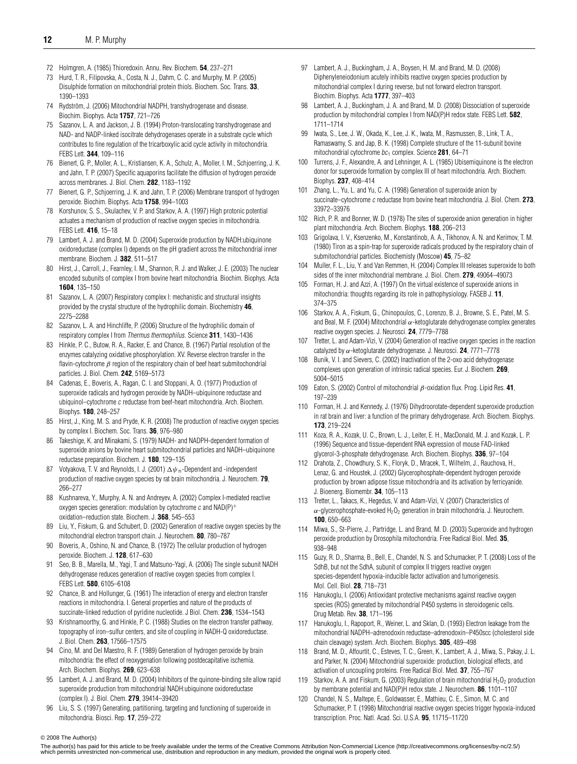- 72 Holmgren, A. (1985) Thioredoxin. Annu. Rev. Biochem. **54**, 237–271
- 73 Hurd, T. R., Filipovska, A., Costa, N. J., Dahm, C. C. and Murphy, M. P. (2005) Disulphide formation on mitochondrial protein thiols. Biochem. Soc. Trans. **33**, 1390–1393
- 74 Rydström, J. (2006) Mitochondrial NADPH, transhydrogenase and disease. Biochim. Biophys. Acta **1757**, 721–726
- 75 Sazanov, L. A. and Jackson, J. B. (1994) Proton-translocating transhydrogenase and NAD- and NADP-linked isocitrate dehydrogenases operate in a substrate cycle which contributes to fine regulation of the tricarboxylic acid cycle activity in mitochondria. FEBS Lett. **344**, 109–116
- 76 Bienert, G. P., Moller, A. L., Kristiansen, K. A., Schulz, A., Moller, I. M., Schjoerring, J. K. and Jahn, T. P. (2007) Specific aquaporins facilitate the diffusion of hydrogen peroxide across membranes. J. Biol. Chem. **282**, 1183–1192
- 77 Bienert, G. P., Schjoerring, J. K. and Jahn, T. P. (2006) Membrane transport of hydrogen peroxide. Biochim. Biophys. Acta **1758**, 994–1003
- 78 Korshunov, S. S., Skulachev, V. P. and Starkov, A. A. (1997) High protonic potential actuates a mechanism of production of reactive oxygen species in mitochondria. FEBS Lett. **416**, 15–18
- 79 Lambert, A. J. and Brand, M. D. (2004) Superoxide production by NADH:ubiquinone oxidoreductase (complex I) depends on the pH gradient across the mitochondrial inner membrane. Biochem. J. **382**, 511–517
- 80 Hirst, J., Carroll, J., Fearnley, I. M., Shannon, R. J. and Walker, J. E. (2003) The nuclear encoded subunits of complex I from bovine heart mitochondria. Biochim. Biophys. Acta **1604**, 135–150
- 81 Sazanov, L. A. (2007) Respiratory complex I: mechanistic and structural insights provided by the crystal structure of the hydrophilic domain. Biochemistry **46**, 2275–2288
- 82 Sazanov, L. A. and Hinchliffe, P. (2006) Structure of the hydrophilic domain of respiratory complex I from Thermus thermophilus. Science **311**, 1430–1436
- 83 Hinkle, P. C., Butow, R. A., Racker, E. and Chance, B. (1967) Partial resolution of the enzymes catalyzing oxidative phosphorylation. XV. Reverse electron transfer in the flavin-cytochrome  $\beta$  region of the respiratory chain of beef heart submitochondrial particles. J. Biol. Chem. **242**, 5169–5173
- 84 Cadenas, E., Boveris, A., Ragan, C. I. and Stoppani, A. O. (1977) Production of superoxide radicals and hydrogen peroxide by NADH–ubiquinone reductase and ubiquinol–cytochrome <sup>c</sup> reductase from beef-heart mitochondria. Arch. Biochem. Biophys. **180**, 248–257
- 85 Hirst, J., King, M. S. and Pryde, K. R. (2008) The production of reactive oxygen species by complex I. Biochem. Soc. Trans. **36**, 976–980
- 86 Takeshige, K. and Minakami, S. (1979) NADH- and NADPH-dependent formation of superoxide anions by bovine heart submitochondrial particles and NADH–ubiquinone reductase preparation. Biochem. J. **180**, 129–135
- 87 Votyakova, T. V. and Reynolds, I. J. (2001)  $\Delta\psi$  –Dependent and -independent production of reactive oxygen species by rat brain mitochondria. J. Neurochem. **79**, 266–277
- 88 Kushnareva, Y., Murphy, A. N. and Andreyev, A. (2002) Complex I-mediated reactive oxygen species generation: modulation by cytochrome  $c$  and  $NAD(P)^+$ oxidation–reduction state. Biochem. J. **368**, 545–553
- 89 Liu, Y., Fiskum, G. and Schubert, D. (2002) Generation of reactive oxygen species by the mitochondrial electron transport chain. J. Neurochem. **80**, 780–787
- 90 Boveris, A., Oshino, N. and Chance, B. (1972) The cellular production of hydrogen peroxide. Biochem. J. **128**, 617–630
- 91 Seo, B. B., Marella, M., Yagi, T. and Matsuno-Yagi, A. (2006) The single subunit NADH dehydrogenase reduces generation of reactive oxygen species from complex I. FEBS Lett. **580**, 6105–6108
- 92 Chance, B. and Hollunger, G. (1961) The interaction of energy and electron transfer reactions in mitochondria. I. General properties and nature of the products of succinate-linked reduction of pyridine nucleotide. J Biol. Chem. **236**, 1534–1543
- 93 Krishnamoorthy, G. and Hinkle, P. C. (1988) Studies on the electron transfer pathway, topography of iron–sulfur centers, and site of coupling in NADH-Q oxidoreductase. J. Biol. Chem. **263**, 17566–17575
- 94 Cino, M. and Del Maestro, R. F. (1989) Generation of hydrogen peroxide by brain mitochondria: the effect of reoxygenation following postdecapitative ischemia. Arch. Biochem. Biophys. **269**, 623–638
- 95 Lambert, A. J. and Brand, M. D. (2004) Inhibitors of the quinone-binding site allow rapid superoxide production from mitochondrial NADH:ubiquinone oxidoreductase (complex I). J. Biol. Chem. **279**, 39414–39420
- 96 Liu, S. S. (1997) Generating, partitioning, targeting and functioning of superoxide in mitochondria. Biosci. Rep. **17**, 259–272
- 97 Lambert, A. J., Buckingham, J. A., Boysen, H. M. and Brand, M. D. (2008) Diphenyleneiodonium acutely inhibits reactive oxygen species production by mitochondrial complex I during reverse, but not forward electron transport. Biochim. Biophys. Acta **1777**, 397–403
- 98 Lambert, A. J., Buckingham, J. A. and Brand, M. D. (2008) Dissociation of superoxide production by mitochondrial complex I from NAD(P)H redox state. FEBS Lett. **582**, 1711–1714
- 99 Iwata, S., Lee, J. W., Okada, K., Lee, J. K., Iwata, M., Rasmussen, B., Link, T. A., Ramaswamy, S. and Jap, B. K. (1998) Complete structure of the 11-subunit bovine mitochondrial cytochrome  $bc_1$  complex. Science **281**, 64–71
- 100 Turrens, J. F., Alexandre, A. and Lehninger, A. L. (1985) Ubisemiquinone is the electron donor for superoxide formation by complex III of heart mitochondria. Arch. Biochem. Biophys. **237**, 408–414
- 101 Zhang, L., Yu, L. and Yu, C. A. (1998) Generation of superoxide anion by succinate–cytochrome <sup>c</sup> reductase from bovine heart mitochondria. J. Biol. Chem. **273**, 33972–33976
- 102 Rich, P. R. and Bonner, W. D. (1978) The sites of superoxide anion generation in higher plant mitochondria. Arch. Biochem. Biophys. **188**, 206–213
- 103 Grigolava, I. V., Ksenzenko, M., Konstantinob, A. A., Tikhonov, A. N. and Kerimov, T. M. (1980) Tiron as a spin-trap for superoxide radicals produced by the respiratory chain of submitochondrial particles. Biochemisty (Moscow) **45**, 75–82
- 104 Muller, F. L., Liu, Y. and Van Remmen, H. (2004) Complex III releases superoxide to both sides of the inner mitochondrial membrane. J. Biol. Chem. **279**, 49064–49073
- 105 Forman, H. J. and Azzi, A. (1997) On the virtual existence of superoxide anions in mitochondria: thoughts regarding its role in pathophysiology. FASEB J. **11**, 374–375
- 106 Starkov, A. A., Fiskum, G., Chinopoulos, C., Lorenzo, B. J., Browne, S. E., Patel, M. S. and Beal, M. F. (2004) Mitochondrial  $\alpha$ -ketoglutarate dehydrogenase complex generates reactive oxygen species. J. Neurosci. **24**, 7779–7788
- 107 Tretter, L. and Adam-Vizi, V. (2004) Generation of reactive oxygen species in the reaction catalyzed by α-ketoglutarate dehydrogenase. J. Neurosci. **24**, 7771–7778
- 108 Bunik, V. I. and Sievers, C. (2002) Inactivation of the 2-oxo acid dehydrogenase complexes upon generation of intrinsic radical species. Eur. J. Biochem. **269**, 5004–5015
- 109 Eaton, S. (2002) Control of mitochondrial β-oxidation flux. Prog. Lipid Res. **41**, 197–239
- 110 Forman, H. J. and Kennedy, J. (1976) Dihydroorotate-dependent superoxide production in rat brain and liver: a function of the primary dehydrogenase. Arch. Biochem. Biophys. **173**, 219–224
- 111 Koza, R. A., Kozak, U. C., Brown, L. J., Leiter, E. H., MacDonald, M. J. and Kozak, L. P. (1996) Sequence and tissue-dependent RNA expression of mouse FAD-linked glycerol-3-phosphate dehydrogenase. Arch. Biochem. Biophys. **336**, 97–104
- 112 Drahota, Z., Chowdhury, S. K., Floryk, D., Mracek, T., Wilhelm, J., Rauchova, H., Lenaz, G. and Houstek, J. (2002) Glycerophosphate-dependent hydrogen peroxide production by brown adipose tissue mitochondria and its activation by ferricyanide. J. Bioenerg. Biomembr. **34**, 105–113
- 113 Tretter, L., Takacs, K., Hegedus, V. and Adam-Vizi, V. (2007) Characteristics of  $\alpha$ -glycerophosphate-evoked H<sub>2</sub>O<sub>2</sub> generation in brain mitochondria. J. Neurochem. **100**, 650–663
- 114 Miwa, S., St-Pierre, J., Partridge, L. and Brand, M. D. (2003) Superoxide and hydrogen peroxide production by Drosophila mitochondria. Free Radical Biol. Med. **35**, 938–948
- 115 Guzy, R. D., Sharma, B., Bell, E., Chandel, N. S. and Schumacker, P. T. (2008) Loss of the SdhB, but not the SdhA, subunit of complex II triggers reactive oxygen species-dependent hypoxia-inducible factor activation and tumorigenesis. Mol. Cell. Biol. **28**, 718–731
- 116 Hanukoglu, I. (2006) Antioxidant protective mechanisms against reactive oxygen species (ROS) generated by mitochondrial P450 systems in steroidogenic cells. Drug Metab. Rev. **38**, 171–196
- 117 Hanukoglu, I., Rapoport, R., Weiner, L. and Sklan, D. (1993) Electron leakage from the mitochondrial NADPH–adrenodoxin reductase–adrenodoxin–P450scc (cholesterol side chain cleavage) system. Arch. Biochem. Biophys. **305**, 489–498
- Brand, M. D., Affourtit, C., Esteves, T. C., Green, K., Lambert, A. J., Miwa, S., Pakay, J. L. and Parker, N. (2004) Mitochondrial superoxide: production, biological effects, and activation of uncoupling proteins. Free Radical Biol. Med. **37**, 755–767
- 119 Starkov, A. A. and Fiskum, G. (2003) Regulation of brain mitochondrial  $H_2O_2$  production by membrane potential and NAD(P)H redox state. J. Neurochem. **86**, 1101–1107
- 120 Chandel, N. S., Maltepe, E., Goldwasser, E., Mathieu, C. E., Simon, M. C. and Schumacker, P. T. (1998) Mitochondrial reactive oxygen species trigger hypoxia-induced transcription. Proc. Natl. Acad. Sci. U.S.A. **95**, 11715–11720